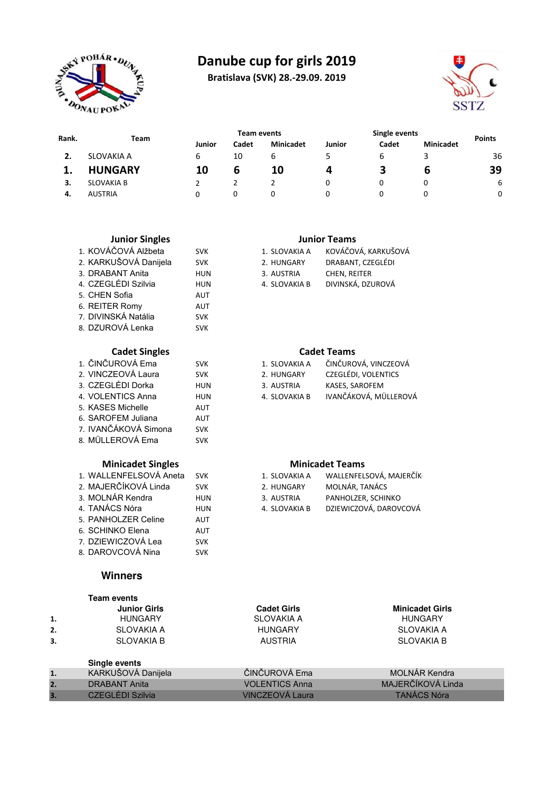

# **Danube cup for girls 2019**

**Bratislava (SVK) 28.-29.09. 2019**



| Rank. |                   |        | <b>Team events</b> |                  |        | Single events | <b>Points</b>    |    |
|-------|-------------------|--------|--------------------|------------------|--------|---------------|------------------|----|
|       | Team              | Junior | Cadet              | <b>Minicadet</b> | Junior | Cadet         | <b>Minicadet</b> |    |
|       | SLOVAKIA A        | 6      | 10                 | b                |        | ь             |                  | 36 |
|       | <b>HUNGARY</b>    | 10     | ь                  | 10               |        |               | b                | 39 |
| З.    | <b>SLOVAKIA B</b> |        |                    |                  |        |               |                  | 6  |
| -4.   | <b>AUSTRIA</b>    |        | 0                  | 0                |        |               |                  | 0  |

|    | <b>Junior Singles</b>    |            |                        | <b>Junior Teams</b>     |
|----|--------------------------|------------|------------------------|-------------------------|
|    | 1. KOVÁČOVÁ Alžbeta      | <b>SVK</b> | 1. SLOVAKIA A          | KOVÁČOVÁ, KARKUŠOVÁ     |
|    | 2. KARKUŠOVÁ Danijela    | <b>SVK</b> | 2. HUNGARY             | DRABANT, CZEGLÉDI       |
|    | 3. DRABANT Anita         | <b>HUN</b> | 3. AUSTRIA             | CHEN, REITER            |
|    | 4. CZEGLÉDI Szilvia      | <b>HUN</b> | 4. SLOVAKIA B          | DIVINSKÁ, DZUROVÁ       |
|    | 5. CHEN Sofia            | <b>AUT</b> |                        |                         |
|    | 6. REITER Romy           | <b>AUT</b> |                        |                         |
|    | 7. DIVINSKÁ Natália      | <b>SVK</b> |                        |                         |
|    | 8. DZUROVÁ Lenka         | <b>SVK</b> |                        |                         |
|    | <b>Cadet Singles</b>     |            |                        | <b>Cadet Teams</b>      |
|    | 1. ČINČUROVÁ Ema         | <b>SVK</b> | 1. SLOVAKIA A          | ČINČUROVÁ, VINCZEOVÁ    |
|    | 2. VINCZEOVÁ Laura       | <b>SVK</b> | 2. HUNGARY             | CZEGLÉDI, VOLENTICS     |
|    | 3. CZEGLÉDI Dorka        | <b>HUN</b> | 3. AUSTRIA             | KASES, SAROFEM          |
|    | 4. VOLENTICS Anna        | <b>HUN</b> | 4. SLOVAKIA B          | IVANČÁKOVÁ, MÜLLEROVÁ   |
|    | 5. KASES Michelle        | <b>AUT</b> |                        |                         |
|    | 6. SAROFEM Juliana       | <b>AUT</b> |                        |                         |
|    | 7. IVANČÁKOVÁ Simona     | <b>SVK</b> |                        |                         |
|    | 8. MÜLLEROVÁ Ema         | <b>SVK</b> |                        |                         |
|    | <b>Minicadet Singles</b> |            |                        | <b>Minicadet Teams</b>  |
|    | 1. WALLENFELSOVÁ Aneta   | <b>SVK</b> | 1. SLOVAKIA A          | WALLENFELSOVÁ, MAJERČÍK |
|    | 2. MAJERČÍKOVÁ Linda     | <b>SVK</b> | 2. HUNGARY             | MOLNÁR, TANÁCS          |
|    | 3. MOLNÁR Kendra         | <b>HUN</b> | 3. AUSTRIA             | PANHOLZER, SCHINKO      |
|    | 4. TANÁCS Nóra           | <b>HUN</b> | 4. SLOVAKIA B          | DZIEWICZOVÁ, DAROVCOVÁ  |
|    | 5. PANHOLZER Celine      | <b>AUT</b> |                        |                         |
|    | 6. SCHINKO Elena         | <b>AUT</b> |                        |                         |
|    | 7. DZIEWICZOVÁ Lea       | <b>SVK</b> |                        |                         |
|    | 8. DAROVCOVÁ Nina        | <b>SVK</b> |                        |                         |
|    | <b>Winners</b>           |            |                        |                         |
|    | <b>Team events</b>       |            |                        |                         |
|    | <b>Junior Girls</b>      |            | <b>Cadet Girls</b>     | <b>Minicadet Girls</b>  |
| 1. | <b>HUNGARY</b>           |            | SLOVAKIA A             | <b>HUNGARY</b>          |
| 2. | <b>SLOVAKIA A</b>        |            | <b>HUNGARY</b>         | <b>SLOVAKIA A</b>       |
| 3. | <b>SLOVAKIA B</b>        |            | <b>AUSTRIA</b>         | <b>SLOVAKIA B</b>       |
|    | Single events            |            |                        |                         |
| 1. | KARKUŠOVÁ Danijela       |            | ČINČUROVÁ Ema          | <b>MOLNÁR Kendra</b>    |
| 2. | <b>DRABANT Anita</b>     |            | <b>VOLENTICS Anna</b>  | MAJERČÍKOVÁ Linda       |
| 3. | <b>CZEGLÉDI Szilvia</b>  |            | <b>VINCZEOVÁ Laura</b> | <b>TANÁCS Nóra</b>      |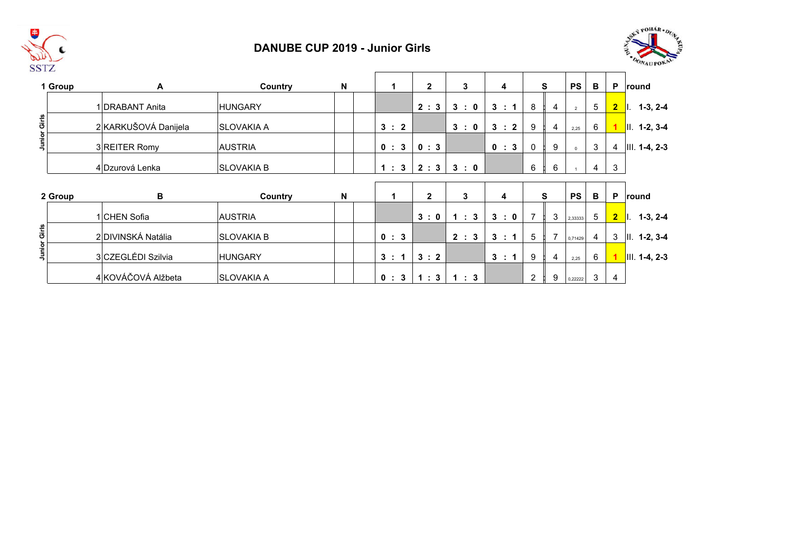

#### **DANUBE CUP 2019 - Junior Girls**



|                     | 1 Group | A                    | Country           | N | 1     | $\mathbf{2}$ | 3     | 4     |                          | S              | <b>PS</b>      | В              | P              | round                 |
|---------------------|---------|----------------------|-------------------|---|-------|--------------|-------|-------|--------------------------|----------------|----------------|----------------|----------------|-----------------------|
|                     |         | 1 DRABANT Anita      | <b>HUNGARY</b>    |   |       | 2:3          | 3:0   | 3 : 1 | 8                        | 4              | $\overline{2}$ | 5              | $\overline{2}$ | $1-3, 2-4$<br>II.     |
| <b>Junior Girls</b> |         | 2 KARKUŠOVÁ Danijela | <b>SLOVAKIA A</b> |   | 3 : 2 |              | 3:0   | 3:2   | 9                        | 4              | 2,25           | 6              |                | $  . 1-2, 3-4  $      |
|                     |         | 3 REITER Romy        | <b>AUSTRIA</b>    |   | 0:3   | 0:3          |       | 0 : 3 | $\mathbf 0$              | 9              | $\Omega$       | 3              | 4              | $III. 1-4, 2-3$       |
|                     |         | 4 Dzurová Lenka      | <b>SLOVAKIA B</b> |   | 1:3   | 2:3          | 3:0   |       | 6                        | 6              |                | 4              | 3              |                       |
|                     |         |                      |                   |   |       |              |       |       |                          |                |                |                |                |                       |
|                     |         |                      |                   |   |       |              |       |       |                          |                |                |                |                |                       |
|                     | 2 Group | В                    | Country           | N | 1.    | $\mathbf{2}$ | 3     | 4     |                          | S              | <b>PS</b>      | В              | P              | <b>round</b>          |
|                     |         | 1 CHEN Sofia         | <b>AUSTRIA</b>    |   |       | 3:0          | 1 : 3 | 3:0   | $\overline{\phantom{a}}$ | 3              | 2,33333        | $5^{\circ}$    | 2 <sup>7</sup> | $\vert$ l. 1-3, 2-4   |
|                     |         | 2 DIVINSKÁ Natália   | <b>SLOVAKIA B</b> |   | 0 : 3 |              | 2 : 3 | 3 : 1 | 5                        | $\overline{7}$ | 0,71429        | $\overline{4}$ | 3              | $II. 1-2, 3-4$        |
| Junior Girls        |         | 3 CZEGLÉDI Szilvia   | <b>HUNGARY</b>    |   | 3:    | 3:2          |       | 3 : 1 | 9                        | 4              | 2,25           | 6              |                | $\vert$ III. 1-4, 2-3 |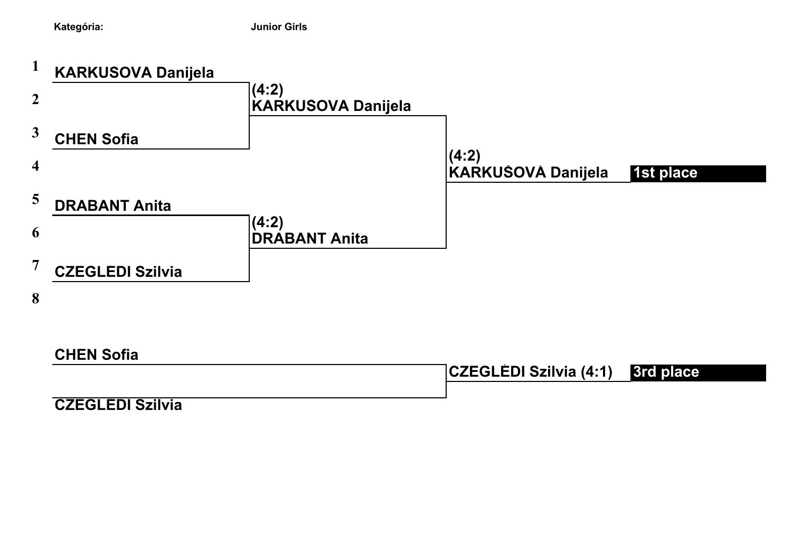

**CZEGLÉDI Szilvia 0**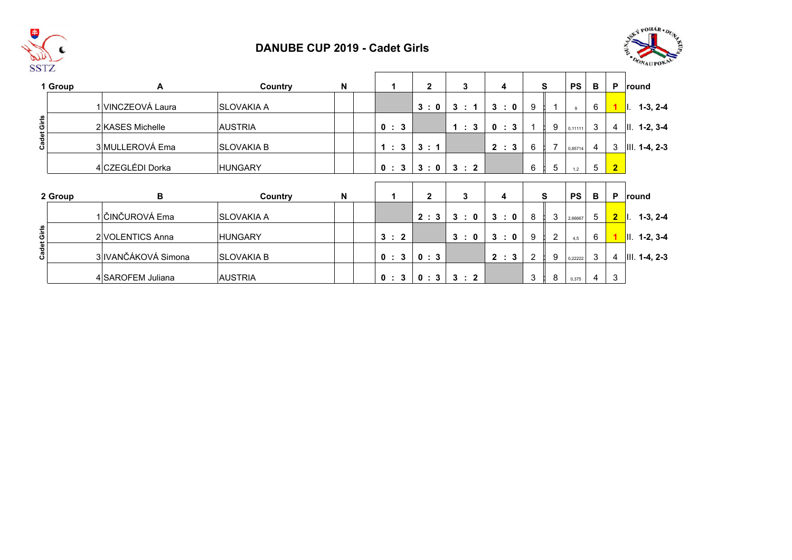

### **DANUBE CUP 2019 - Cadet Girls**



|             | 1 Group | A                   | Country            | N | 1     | $\mathbf{2}$ | 3     | 4     |                | S              | <b>PS</b> | B               | P              | round                |
|-------------|---------|---------------------|--------------------|---|-------|--------------|-------|-------|----------------|----------------|-----------|-----------------|----------------|----------------------|
|             |         | 1 VINCZEOVÁ Laura   | <b>ISLOVAKIA A</b> |   |       | 3:0          | 3 : 1 | 3:0   | 9              |                | 9         | 6               |                | $\vert$ l. 1-3, 2-4  |
| Cadet Girls |         | 2 KASES Michelle    | <b>AUSTRIA</b>     |   | 0 : 3 |              | 1:3   | 0 : 3 |                | 9              | 0,11111   | 3               | $\overline{4}$ | $II. 1-2, 3-4$       |
|             |         | 3 MULLEROVÁ Ema     | <b>SLOVAKIA B</b>  |   | 1:3   | 3:1          |       | 2 : 3 | 6              | $\overline{7}$ | 0,85714   | $\overline{4}$  | 3              | $III. 1-4, 2-3$      |
|             |         | 4 CZEGLÉDI Dorka    | <b>HUNGARY</b>     |   | 0 : 3 | 3:0          | 3:2   |       | 6              | 5              | 1,2       | $5\overline{)}$ | 2 <sub>2</sub> |                      |
|             |         |                     |                    |   |       |              |       |       |                |                |           |                 |                |                      |
|             | 2 Group | В                   | Country            | N |       | $\mathbf{2}$ | 3     | 4     |                | S              | <b>PS</b> | B               | P              | round                |
|             |         | 1 ČINČUROVÁ Ema     | <b>ISLOVAKIA A</b> |   |       | 2:3          | 3:0   | 3:0   | 8              | 3              | 2,66667   | 5               |                | $2$   $1.3, 2-4$     |
|             |         | 2 VOLENTICS Anna    | <b>HUNGARY</b>     |   | 3 : 2 |              | 3:0   | 3:0   | 9              | $\overline{2}$ | 4,5       | 6               |                | $\vert$ II. 1-2, 3-4 |
| Cadet Girls |         | 3 IVANČÁKOVÁ Simona | <b>SLOVAKIA B</b>  |   | 0 : 3 | 0:3          |       | 2 : 3 | $\overline{c}$ | 9              | 0,22222   | 3               | $\overline{4}$ | $III. 1-4, 2-3$      |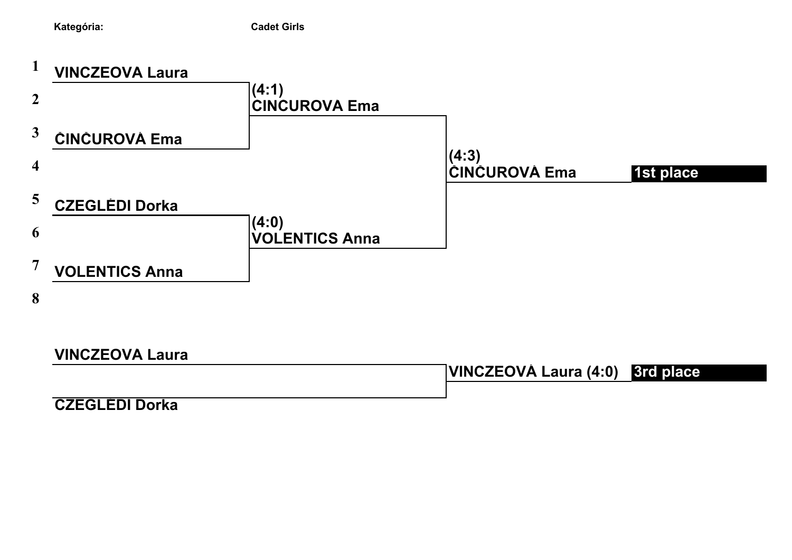



**VINCZEOVÁ Laura**

**VINCZEOVÁ Laura (4:0) 3rd place**

**CZEGLÉDI Dorka 0**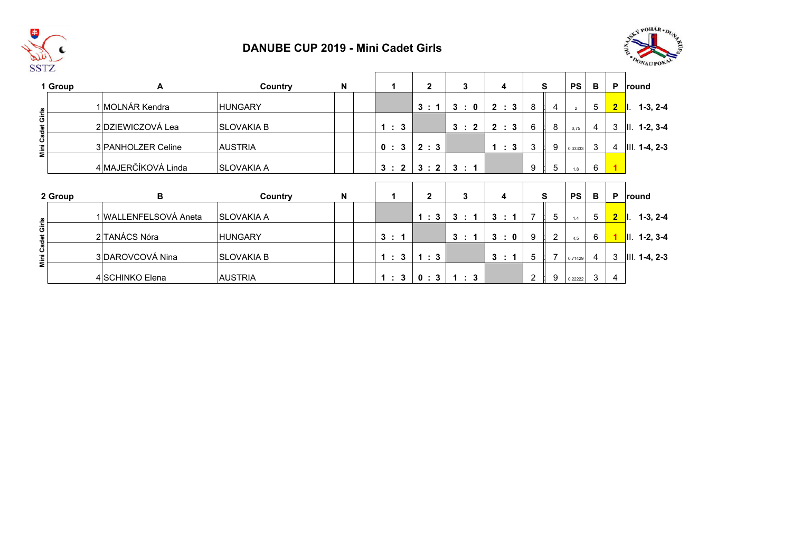

### **DANUBE CUP 2019 - Mini Cadet Girls**



|                  | 1 Group | Α                     | Country           | $\boldsymbol{\mathsf{N}}$ |                    | $\mathbf{2}$ | 3   | 4     |   | S              | <b>PS</b>      | B              | P              | round                 |
|------------------|---------|-----------------------|-------------------|---------------------------|--------------------|--------------|-----|-------|---|----------------|----------------|----------------|----------------|-----------------------|
|                  |         | 1 MOLNÁR Kendra       | IHUNGARY          |                           |                    | 3:1          | 3:0 | 2 : 3 | 8 | 4              | $\overline{2}$ | 5              | $\overline{2}$ | $1-3, 2-4$<br>$\P$ l. |
| Mini Cadet Girls |         | 2 DZIEWICZOVÁ Lea     | ISLOVAKIA B       |                           | 1:3                |              | 3:2 | 2 : 3 | 6 | 8              | 0,75           | $\overline{4}$ | 3              | $II. 1-2, 3-4$        |
|                  |         | 3 PANHOLZER Celine    | <b>AUSTRIA</b>    |                           | 0:3                | 2:3          |     | 1 : 3 | 3 | 9              | 0,33333        | 3              | $\overline{4}$ | $III. 1-4, 2-3$       |
|                  |         | 4 MAJERČÍKOVÁ Linda   | <b>SLOVAKIA A</b> |                           | 3:2                | 3:2          | 3:1 |       | 9 | 5              | 1,8            | 6              |                |                       |
|                  |         |                       |                   |                           |                    |              |     |       |   |                |                |                |                |                       |
|                  |         |                       |                   |                           |                    |              |     |       |   |                |                |                |                |                       |
|                  | 2 Group | В                     | Country           | N                         | 1                  | $\mathbf{2}$ | 3   | 4     |   | S              | <b>PS</b>      | В              | P              | round                 |
|                  |         | 1 WALLENFELSOVÁ Aneta | <b>SLOVAKIA A</b> |                           |                    | 1:3          | 3:  | 3 : 1 | 7 | 5              | 1,4            | 5              | $\overline{2}$ | $\vert$ l. 1-3, 2-4   |
|                  |         | 2 TANÁCS Nóra         | <b>IHUNGARY</b>   |                           | 3 : 1              |              | 3:1 | 3:0   | 9 | $\overline{2}$ | 4,5            | 6              |                | $II. 1-2, 3-4$        |
| Mini Cadet Girls |         | 3 DAROVCOVÁ Nina      | <b>SLOVAKIA B</b> |                           | 1:<br>$\mathbf{3}$ | 1:3          |     | 3 : 1 | 5 | $\overline{7}$ | 0,71429        | $\overline{4}$ | 3              | $III. 1-4, 2-3$       |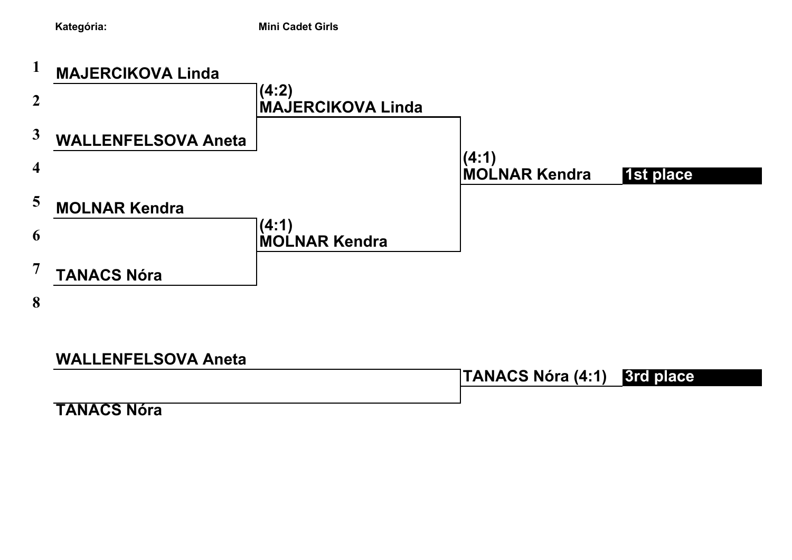

# **WALLENFELSOVA Aneta**

**TANÁCS Nóra (4:1) 3rd place**

**TANACS Nóra**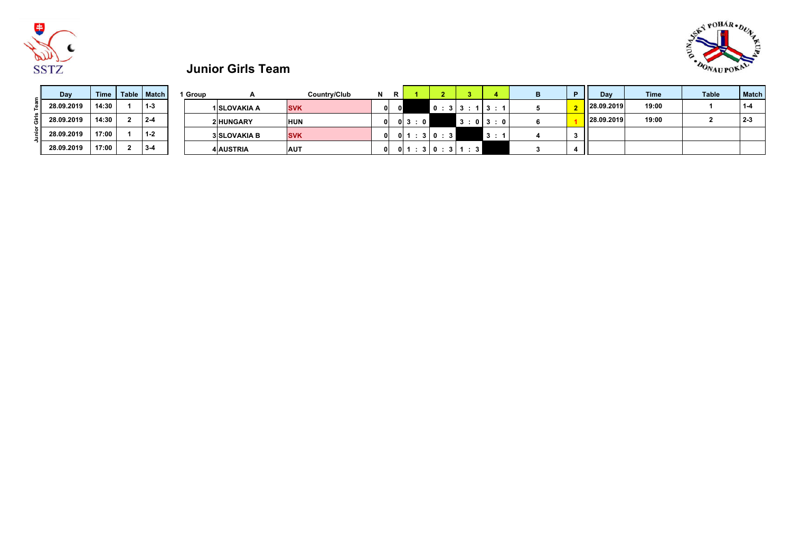



# **Junior Girls Team**

| Day        | Time  | Table   Match | l Group |                     | Country/Club |          | в. |           |             |         | n | Dav        | Time  | <b>Table</b> | <b>Match</b> |
|------------|-------|---------------|---------|---------------------|--------------|----------|----|-----------|-------------|---------|---|------------|-------|--------------|--------------|
| 28.09.2019 | 14:30 | $1 - 3$       |         | 1 SLOVAKIA A        | <b>SVK</b>   | $\Omega$ |    |           | 10:313:113: |         |   | 28.09.2019 | 19:00 |              |              |
| 28.09.2019 | 14:30 | $2 - 4$       |         | <b>2 HUNGARY</b>    | <b>HUN</b>   | 0 I      |    | 0 3 : 0 1 |             | 3:0 3:0 |   | 28.09.2019 | 19:00 |              | $2 \div$     |
| 28.09.2019 | 17:00 | $1 - 2$       |         | <b>3 SLOVAKIA B</b> | <b>SVK</b>   | ി        |    | 011       | 30:3        | 3:      |   |            |       |              |              |
| 28.09.2019 | 17:00 | $3-4$         |         | <b>4 AUSTRIA</b>    | <b>AUT</b>   | 0 I      |    | 01:       | 3 0:3 1:3   |         |   |            |       |              |              |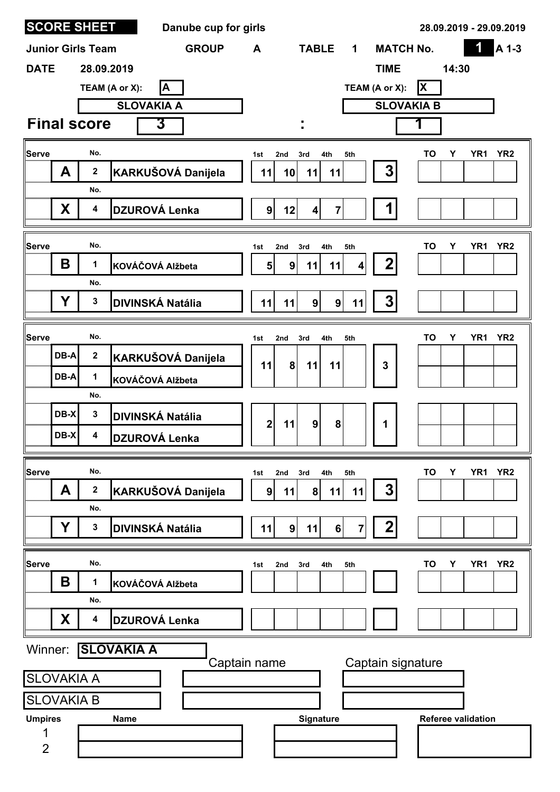| <b>SCORE SHEET</b>       |                  |                   | Danube cup for girls    |                |            |                                           |                         |                   |          | 28.09.2019 - 29.09.2019   |                 |
|--------------------------|------------------|-------------------|-------------------------|----------------|------------|-------------------------------------------|-------------------------|-------------------|----------|---------------------------|-----------------|
| <b>Junior Girls Team</b> |                  |                   | <b>GROUP</b>            | A              |            | <b>TABLE</b>                              | $\mathbf 1$             | <b>MATCH No.</b>  |          | 1                         | A 1-3           |
| <b>DATE</b>              |                  | 28.09.2019        |                         |                |            |                                           |                         | <b>TIME</b>       |          | 14:30                     |                 |
|                          |                  | TEAM (A or X):    | A                       |                |            |                                           |                         | TEAM (A or X):    | <b>X</b> |                           |                 |
|                          |                  |                   | <b>SLOVAKIA A</b>       |                |            |                                           |                         | <b>SLOVAKIA B</b> |          |                           |                 |
| <b>Final score</b>       |                  |                   | 3                       |                |            |                                           |                         |                   | 1        |                           |                 |
| Serve                    | No.              |                   |                         | 1st            | 2nd        | 4th<br>3rd                                | 5th                     |                   | Υ<br>ΤO  | YR <sub>1</sub>           | YR <sub>2</sub> |
| A                        | $\mathbf 2$      |                   | KARKUŠOVÁ Danijela      | 11             | 10         | 11<br>11                                  |                         | 3                 |          |                           |                 |
| X                        | No.<br>4         |                   | <b>DZUROVÁ Lenka</b>    | 9 <sup>1</sup> | 12         | $\overline{7}$<br>$\overline{\mathbf{4}}$ |                         |                   |          |                           |                 |
|                          |                  |                   |                         |                |            |                                           |                         |                   |          |                           |                 |
| Serve                    | No.              |                   |                         | 1st            | 2nd        | 3rd<br>4th                                | 5th                     |                   | TO<br>Y  | YR <sub>1</sub>           | YR <sub>2</sub> |
| B                        | 1                |                   | KOVÁČOVÁ Alžbeta        | 5 <sup>1</sup> | 9          | 11<br>11                                  | 4                       | $\mathbf 2$       |          |                           |                 |
|                          | No.              |                   |                         |                |            |                                           |                         |                   |          |                           |                 |
| Υ                        | 3                |                   | <b>DIVINSKÁ Natália</b> | 11             | 11         | 9 <br> 9                                  | 11                      | 3                 |          |                           |                 |
| Serve                    | No.              |                   |                         | 1st            | 3rd<br>2nd | 4th                                       | 5th                     |                   | TO<br>Y  | YR1                       | YR <sub>2</sub> |
| DB-A                     | $\mathbf 2$      |                   | KARKUŠOVÁ Danijela      | 11             | 8          | 11<br>11                                  |                         | 3                 |          |                           |                 |
| DB-A                     | 1                |                   | KOVÁČOVÁ Alžbeta        |                |            |                                           |                         |                   |          |                           |                 |
|                          | No.              |                   |                         |                |            |                                           |                         |                   |          |                           |                 |
| DB-X                     | $\mathbf 3$      |                   | <b>DIVINSKÁ Natália</b> | $\overline{2}$ | 11         | 9<br>8                                    |                         | 1                 |          |                           |                 |
| DB-X                     | 4                |                   | <b>DZUROVÁ Lenka</b>    |                |            |                                           |                         |                   |          |                           |                 |
| Serve                    | No.              |                   |                         | 1st            | 2nd<br>3rd | 4th                                       | 5th                     |                   | Y<br>TO  | YR <sub>1</sub>           | YR <sub>2</sub> |
| A                        | $\boldsymbol{2}$ |                   | KARKUŠOVÁ Danijela      | 9 <sup>1</sup> | 11         | 8 <sup>1</sup><br>11                      | 11                      | $\boldsymbol{3}$  |          |                           |                 |
|                          | No.              |                   |                         |                |            |                                           |                         |                   |          |                           |                 |
| Y                        | 3                |                   | <b>DIVINSKÁ Natália</b> | 11             | 9          | 6<br>11                                   | $\overline{\mathbf{7}}$ | $\boldsymbol{2}$  |          |                           |                 |
| Serve                    | No.              |                   |                         | 1st            | 2nd<br>3rd | 4th                                       | 5th                     |                   | TO<br>Y  | YR <sub>1</sub>           | YR <sub>2</sub> |
| B                        | 1                |                   | KOVÁČOVÁ Alžbeta        |                |            |                                           |                         |                   |          |                           |                 |
|                          | No.              |                   |                         |                |            |                                           |                         |                   |          |                           |                 |
| X                        | 4                |                   | <b>DZUROVÁ Lenka</b>    |                |            |                                           |                         |                   |          |                           |                 |
| Winner:                  |                  | <b>SLOVAKIA A</b> |                         |                |            |                                           |                         |                   |          |                           |                 |
| <b>SLOVAKIA A</b>        |                  |                   | Captain name            |                |            |                                           |                         | Captain signature |          |                           |                 |
| <b>SLOVAKIA B</b>        |                  |                   |                         |                |            |                                           |                         |                   |          |                           |                 |
| <b>Umpires</b>           |                  | <b>Name</b>       |                         |                |            | Signature                                 |                         |                   |          | <b>Referee validation</b> |                 |
|                          |                  |                   |                         |                |            |                                           |                         |                   |          |                           |                 |
| $\overline{2}$           |                  |                   |                         |                |            |                                           |                         |                   |          |                           |                 |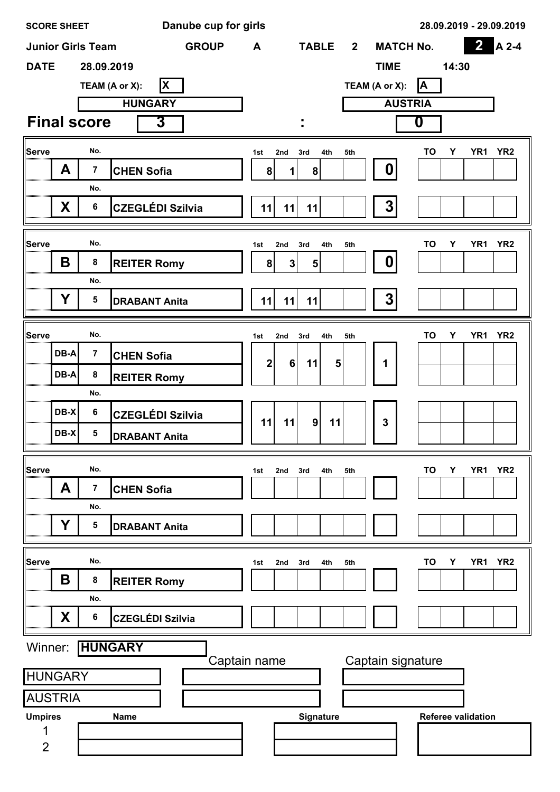| <b>SCORE SHEET</b> |        |                          | Danube cup for girls       | 28.09.2019 - 29.09.2019                                                                                                   |
|--------------------|--------|--------------------------|----------------------------|---------------------------------------------------------------------------------------------------------------------------|
|                    |        | <b>Junior Girls Team</b> | <b>GROUP</b>               | $\overline{\mathbf{2}}$<br>$A 2-4$<br><b>TABLE</b><br><b>MATCH No.</b><br>$\mathbf{2}$<br>A                               |
| <b>DATE</b>        |        | 28.09.2019               |                            | <b>TIME</b><br>14:30                                                                                                      |
|                    |        |                          | <b>X</b><br>TEAM (A or X): | A<br>TEAM (A or X):                                                                                                       |
|                    |        |                          | <b>HUNGARY</b>             | <b>AUSTRIA</b>                                                                                                            |
|                    |        | <b>Final score</b>       | 3                          | 0<br>٠                                                                                                                    |
| Serve              |        | No.                      |                            | YR <sub>1</sub><br>YR <sub>2</sub><br>TO<br>Υ<br>2nd<br>3rd<br>4th<br>5th<br>1st                                          |
|                    | A      | $\overline{7}$           | <b>CHEN Sofia</b>          | 0<br>8<br>8<br>1                                                                                                          |
|                    |        | No.                      |                            |                                                                                                                           |
|                    | X      | $\bf 6$                  | <b>CZEGLÉDI Szilvia</b>    | $\mathbf{3}$<br>11<br>11<br>11                                                                                            |
|                    |        |                          |                            |                                                                                                                           |
| Serve              | B      | No.<br>8                 | <b>REITER Romy</b>         | YR <sub>2</sub><br>TO<br>Υ<br>YR1<br>1st<br>2nd<br>3rd<br>4th<br>5th<br>0<br>8<br>$\mathbf{3}$<br>$\overline{\mathbf{5}}$ |
|                    |        | No.                      |                            |                                                                                                                           |
|                    | Y      | $5\phantom{1}$           | <b>DRABANT Anita</b>       | 3<br>11<br>11<br>11                                                                                                       |
|                    |        |                          |                            |                                                                                                                           |
| Serve              |        | No.                      |                            | YR <sub>2</sub><br>TO<br>Y<br>YR1<br>4th<br>5th<br>1st<br>2nd<br>3rd                                                      |
|                    | DB-A   | $\overline{7}$           | <b>CHEN Sofia</b>          | $\overline{\mathbf{2}}$<br>6<br>11<br>5<br>1                                                                              |
|                    | DB-A   | 8                        | <b>REITER Romy</b>         |                                                                                                                           |
|                    |        | No.                      |                            |                                                                                                                           |
|                    | $DB-X$ | $\bf 6$                  | <b>CZEGLÉDI Szilvia</b>    | $\overline{9}$<br>11<br>3<br>11<br>11                                                                                     |
|                    | DB-X   | 5                        | <b>DRABANT Anita</b>       |                                                                                                                           |
| Serve              |        | No.                      |                            | TO<br>Y                                                                                                                   |
|                    | A      | $\overline{7}$           | <b>CHEN Sofia</b>          | YR <sub>1</sub><br>YR <sub>2</sub><br>2nd<br>5th<br>1st<br>3rd<br>4th                                                     |
|                    |        | No.                      |                            |                                                                                                                           |
|                    | Y      | 5                        | <b>DRABANT Anita</b>       |                                                                                                                           |
|                    |        |                          |                            |                                                                                                                           |
| Serve              |        | No.                      |                            | TO<br>YR <sub>1</sub><br>YR <sub>2</sub><br>Υ<br>2nd<br>3rd<br>4th<br>5th<br>1st                                          |
|                    | B      | 8                        | <b>REITER Romy</b>         |                                                                                                                           |
|                    |        | No.                      |                            |                                                                                                                           |
|                    | X      | $\bf 6$                  | <b>CZEGLÉDI Szilvia</b>    |                                                                                                                           |
| Winner:            |        |                          | <b>HUNGARY</b>             |                                                                                                                           |
| <b>HUNGARY</b>     |        |                          |                            | Captain signature<br>Captain name                                                                                         |
| <b>AUSTRIA</b>     |        |                          |                            |                                                                                                                           |
| <b>Umpires</b>     |        |                          | <b>Name</b>                | Signature<br><b>Referee validation</b>                                                                                    |
|                    |        |                          |                            |                                                                                                                           |
| $\overline{2}$     |        |                          |                            |                                                                                                                           |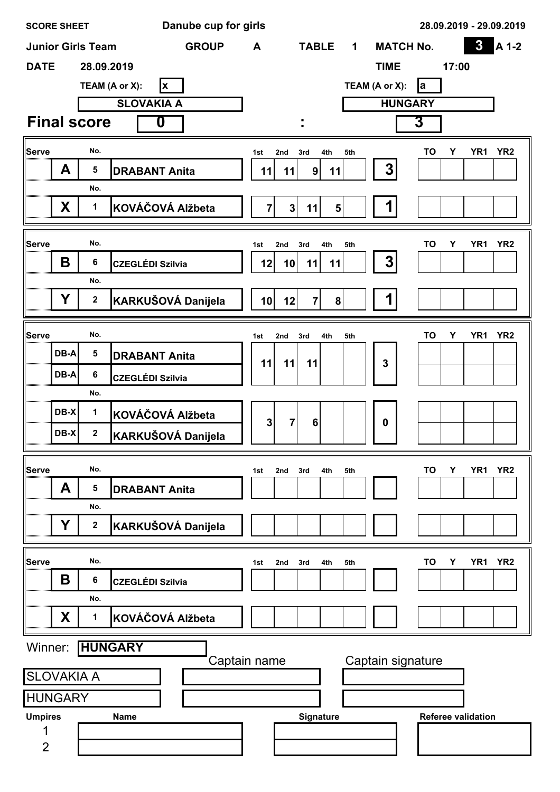| $\boldsymbol{3}$<br><b>GROUP</b><br><b>TABLE</b><br><b>MATCH No.</b><br><b>Junior Girls Team</b><br>A<br>$\mathbf 1$<br><b>DATE</b><br>28.09.2019<br><b>TIME</b><br>17:00<br>TEAM (A or X):<br>TEAM (A or X):<br>X<br><b>l</b> a<br><b>HUNGARY</b><br><b>SLOVAKIA A</b><br><b>Final score</b><br>3<br>0<br>٠ | A 1-2           |
|--------------------------------------------------------------------------------------------------------------------------------------------------------------------------------------------------------------------------------------------------------------------------------------------------------------|-----------------|
|                                                                                                                                                                                                                                                                                                              |                 |
|                                                                                                                                                                                                                                                                                                              |                 |
|                                                                                                                                                                                                                                                                                                              |                 |
|                                                                                                                                                                                                                                                                                                              |                 |
|                                                                                                                                                                                                                                                                                                              |                 |
| <b>Serve</b><br>No.<br>YR <sub>1</sub><br>TO<br>Υ<br>4th<br>5th<br>1st<br>2nd<br>3rd                                                                                                                                                                                                                         | YR <sub>2</sub> |
| $\boldsymbol{3}$<br>A<br>5<br><b>DRABANT Anita</b><br>9 <sup>1</sup><br>11<br>11<br>11                                                                                                                                                                                                                       |                 |
| No.                                                                                                                                                                                                                                                                                                          |                 |
| X<br>KOVÁČOVÁ Alžbeta<br>1<br>$\mathbf{7}$<br>$\mathbf{3}$<br>11<br>5 <sup>1</sup>                                                                                                                                                                                                                           |                 |
|                                                                                                                                                                                                                                                                                                              |                 |
| <b>Serve</b><br>No.<br>TO<br>Υ<br>YR <sub>1</sub><br>2nd<br>4th<br>5th<br>1st<br>3rd                                                                                                                                                                                                                         | YR <sub>2</sub> |
| 3<br>Β<br>6<br><b>CZEGLÉDI Szilvia</b><br>12<br>11<br>11<br>10<br>No.                                                                                                                                                                                                                                        |                 |
| Ý<br>KARKUŠOVÁ Danijela<br>1<br>$\mathbf{2}$<br>12<br>$\overline{7}$<br>8 <sup>1</sup><br>10 <sub>l</sub>                                                                                                                                                                                                    |                 |
|                                                                                                                                                                                                                                                                                                              |                 |
| <b>Serve</b><br>No.<br>YR <sub>1</sub><br>TO<br>Υ<br>4th<br>5th<br>1st<br>2nd<br>3rd                                                                                                                                                                                                                         | YR <sub>2</sub> |
| DB-A<br>5<br><b>DRABANT Anita</b><br>11<br>11<br>3<br>11                                                                                                                                                                                                                                                     |                 |
| 6<br>DB-A<br><b>CZEGLÉDI Szilvia</b>                                                                                                                                                                                                                                                                         |                 |
| No.                                                                                                                                                                                                                                                                                                          |                 |
| DB-X<br>1<br>KOVÁČOVÁ Alžbeta<br>$\overline{\mathbf{3}}$<br>$\overline{7}$<br>6<br>$\boldsymbol{0}$                                                                                                                                                                                                          |                 |
| DB-X<br>$\mathbf{2}$<br>KARKUŠOVÁ Danijela<br>                                                                                                                                                                                                                                                               |                 |
|                                                                                                                                                                                                                                                                                                              |                 |
| <b>Serve</b><br>No.<br>TO<br>Υ<br>YR <sub>1</sub><br>1st<br>2nd<br>3rd<br>4th<br>5th<br>A<br>5                                                                                                                                                                                                               | YR <sub>2</sub> |
| <b>DRABANT Anita</b><br>No.                                                                                                                                                                                                                                                                                  |                 |
| Y<br>$\mathbf 2$<br>KARKUŠOVÁ Danijela                                                                                                                                                                                                                                                                       |                 |
|                                                                                                                                                                                                                                                                                                              |                 |
| <b>Serve</b><br>No.<br>TO<br>YR <sub>1</sub><br>Υ<br>3rd<br>4th<br>5th<br>2nd<br>1st                                                                                                                                                                                                                         | YR <sub>2</sub> |
| B<br>$\bf 6$<br><b>CZEGLÉDI Szilvia</b>                                                                                                                                                                                                                                                                      |                 |
| No.                                                                                                                                                                                                                                                                                                          |                 |
| X<br>KOVÁČOVÁ Alžbeta<br>1                                                                                                                                                                                                                                                                                   |                 |
| <b>HUNGARY</b><br>Winner:                                                                                                                                                                                                                                                                                    |                 |
| Captain signature<br>Captain name                                                                                                                                                                                                                                                                            |                 |
| <b>SLOVAKIA A</b>                                                                                                                                                                                                                                                                                            |                 |
| <b>HUNGARY</b>                                                                                                                                                                                                                                                                                               |                 |
| <b>Umpires</b><br>Signature<br><b>Referee validation</b><br><b>Name</b>                                                                                                                                                                                                                                      |                 |
| $\overline{2}$                                                                                                                                                                                                                                                                                               |                 |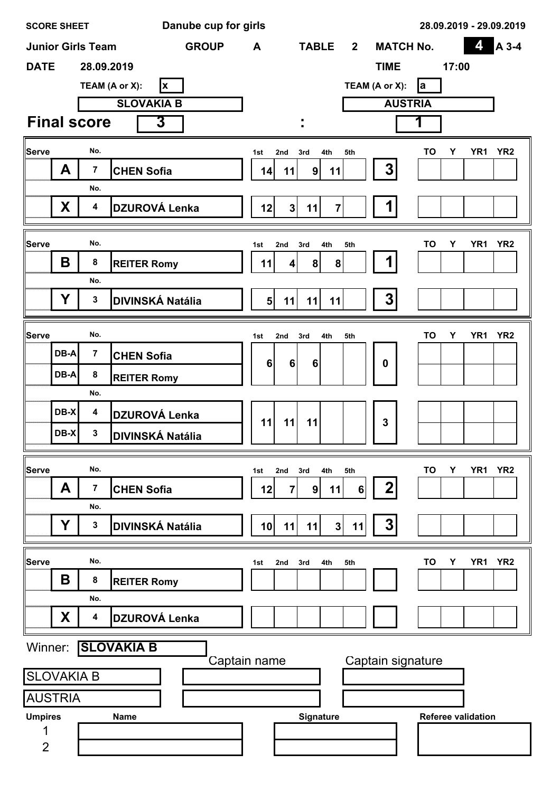| <b>SCORE SHEET</b>  |      |                          | Danube cup for girls    | 28.09.2019 - 29.09.2019                                                                 |
|---------------------|------|--------------------------|-------------------------|-----------------------------------------------------------------------------------------|
|                     |      | <b>Junior Girls Team</b> | <b>GROUP</b>            | 4<br>A 3-4<br><b>TABLE</b><br><b>MATCH No.</b><br>$\mathbf{2}$<br>A                     |
| <b>DATE</b>         |      | 28.09.2019               |                         | <b>TIME</b><br>17:00                                                                    |
|                     |      |                          | TEAM (A or X):<br> x    | TEAM (A or X):<br><b>l</b> a                                                            |
|                     |      |                          | <b>SLOVAKIA B</b>       | <b>AUSTRIA</b>                                                                          |
|                     |      | <b>Final score</b>       | 3                       | 1                                                                                       |
| Serve               |      | No.                      |                         | YR <sub>2</sub><br>YR <sub>1</sub><br>TO<br>Υ<br>3rd<br>4th<br>5th<br>1st<br>2nd        |
|                     | A    | $\overline{\mathbf{7}}$  | <b>CHEN Sofia</b>       | 3<br>9 <sup>1</sup><br>14<br>11<br>11                                                   |
|                     |      | No.                      |                         |                                                                                         |
|                     | X    | $\boldsymbol{4}$         | <b>DZUROVÁ Lenka</b>    | 12<br>3 <sup>1</sup><br>11<br>$\overline{7}$                                            |
| Serve               |      | No.                      |                         | YR <sub>2</sub><br><b>TO</b><br>Υ<br>YR <sub>1</sub>                                    |
|                     | B    | 8                        | <b>REITER Romy</b>      | 2nd<br>3rd<br>4th<br>5th<br>1st<br>8<br>8<br>11<br>4                                    |
|                     |      | No.                      |                         |                                                                                         |
|                     | Ý    | $\mathbf{3}$             | <b>DIVINSKÁ Natália</b> | 3<br>5 <sub>l</sub><br>11<br>11<br>11                                                   |
|                     |      |                          |                         |                                                                                         |
| Serve               |      | No.                      |                         | TO<br>Υ<br>YR1<br>YR <sub>2</sub><br>4th<br>5th<br>1st<br>2nd<br>3rd                    |
|                     | DB-A | $\overline{7}$           | <b>CHEN Sofia</b>       | 6<br>$6\phantom{1}$<br>6<br>$\mathbf 0$                                                 |
|                     | DB-A | 8                        | <b>REITER Romy</b>      |                                                                                         |
|                     |      | No.                      |                         |                                                                                         |
|                     | DB-X | $\boldsymbol{4}$         | DZUROVÁ Lenka           | 11<br>11<br>3<br>11                                                                     |
| ,,,,,,,,,,,,,,,,,,, | DB-X | $\mathbf 3$              | <b>DIVINSKÁ Natália</b> |                                                                                         |
| Serve               |      | No.                      |                         | <b>TO</b><br>YR <sub>2</sub><br>Υ<br>YR <sub>1</sub><br>2nd<br>3rd<br>4th<br>5th<br>1st |
|                     | A    | $\overline{7}$           | <b>CHEN Sofia</b>       | $\boldsymbol{2}$<br>6<br>12<br> 9 <br>11<br>$\overline{\mathbf{7}}$                     |
|                     |      | No.                      |                         |                                                                                         |
|                     | Y    | $\mathbf 3$              | <b>DIVINSKÁ Natália</b> | 3<br>3<br>10 <sub>l</sub><br>11<br>11<br>11                                             |
| Serve               |      | No.                      |                         | YR <sub>2</sub><br>TO<br>YR <sub>1</sub><br>Y<br>3rd<br>4th<br>5th<br>2nd<br>1st        |
|                     | B    | 8                        | <b>REITER Romy</b>      |                                                                                         |
|                     |      | No.                      |                         |                                                                                         |
|                     | X    | 4                        | <b>DZUROVÁ Lenka</b>    |                                                                                         |
|                     |      |                          | Winner: SLOVAKIA B      |                                                                                         |
| <b>SLOVAKIA B</b>   |      |                          |                         | Captain signature<br>Captain name                                                       |
| <b>AUSTRIA</b>      |      |                          |                         |                                                                                         |
| <b>Umpires</b>      |      |                          | <b>Name</b>             | Signature<br><b>Referee validation</b>                                                  |
|                     |      |                          |                         |                                                                                         |
| $\overline{2}$      |      |                          |                         |                                                                                         |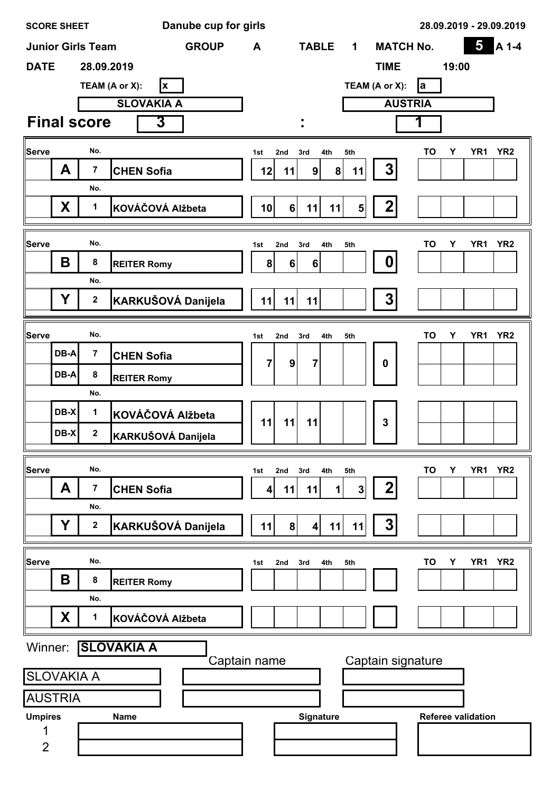|                | <b>SCORE SHEET</b> |                          | Danube cup for girls       | 28.09.2019 - 29.09.2019                                                                                                  |
|----------------|--------------------|--------------------------|----------------------------|--------------------------------------------------------------------------------------------------------------------------|
|                |                    | <b>Junior Girls Team</b> | <b>GROUP</b>               | 5<br>A 1-4<br><b>MATCH No.</b><br><b>TABLE</b><br>A<br>$\mathbf 1$                                                       |
| <b>DATE</b>    |                    | 28.09.2019               |                            | <b>TIME</b><br>19:00                                                                                                     |
|                |                    |                          | TEAM (A or X):<br><b>X</b> | TEAM (A or X):<br><b>l</b> a                                                                                             |
|                |                    |                          | <b>SLOVAKIA A</b>          | <b>AUSTRIA</b>                                                                                                           |
|                |                    | <b>Final score</b>       | 3                          | ٠                                                                                                                        |
| <b>Serve</b>   |                    | No.                      |                            | YR <sub>2</sub><br>TO<br>YR1<br>Υ<br>1st<br>2nd<br>3rd<br>4th<br>5th                                                     |
|                | A                  | $\overline{7}$           | <b>CHEN Sofia</b>          | 3<br>$\boldsymbol{8}$<br>9<br>12<br>11<br>11                                                                             |
|                |                    | No.                      |                            |                                                                                                                          |
|                | X                  | $\mathbf 1$              | KOVÁČOVÁ Alžbeta           | $\mathbf 2$<br>10<br>6<br>11<br>11<br>5 <sub>l</sub>                                                                     |
| Serve          |                    | No.                      |                            |                                                                                                                          |
|                | B                  | 8                        | <b>REITER Romy</b>         | YR <sub>2</sub><br>TO<br>Υ<br>YR1<br>2nd<br>3rd<br>4th<br>5th<br>1st<br>0<br>8 <sup>1</sup><br>$6\phantom{1}$<br>$\bf 6$ |
|                |                    | No.                      |                            |                                                                                                                          |
|                | Y                  | $\mathbf{2}$             | KARKUŠOVÁ Danijela         | 3<br>11<br>11<br>11                                                                                                      |
|                |                    |                          |                            |                                                                                                                          |
| Serve          |                    | No.                      |                            | TO<br>Υ<br>YR <sub>1</sub><br>YR <sub>2</sub><br>3rd<br>4th<br>5th<br>1st<br>2nd                                         |
|                | DB-A               | $\overline{7}$           | <b>CHEN Sofia</b>          | $\overline{7}$<br>9<br>7<br>$\boldsymbol{0}$                                                                             |
|                | DB-A               | ${\bf 8}$                | <b>REITER Romy</b>         |                                                                                                                          |
|                |                    | No.                      |                            |                                                                                                                          |
|                | DB-X               | 1                        | KOVÁČOVÁ Alžbeta           | 11<br>3<br>11<br>11                                                                                                      |
|                | DB-X               | $\overline{2}$           | KARKUŠOVÁ Danijela         |                                                                                                                          |
| Serve          |                    | No.                      |                            | TO<br>YR <sub>1</sub><br>YR <sub>2</sub><br>Y<br>2nd<br>3rd<br>4th<br>5th<br>1st                                         |
|                | A                  | 7                        | <b>CHEN Sofia</b>          | 2<br>$\mathbf 1$<br>3<br>4<br>11<br>11                                                                                   |
|                |                    | No.                      |                            |                                                                                                                          |
|                | Y                  | 2                        | KARKUŠOVÁ Danijela         | 3<br>11<br>8 <sup>1</sup><br>11<br>$\vert$<br>11                                                                         |
| Serve          |                    | No.                      |                            | YR <sub>2</sub><br>TO<br>YR <sub>1</sub><br>Y<br>3rd<br>4th<br>5th<br>2nd<br>1st                                         |
|                | Β                  | 8                        | <b>REITER Romy</b>         |                                                                                                                          |
|                |                    | No.                      |                            |                                                                                                                          |
|                | X                  | 1                        | KOVÁČOVÁ Alžbeta           |                                                                                                                          |
| Winner:        |                    |                          | <b>SLOVAKIA A</b>          |                                                                                                                          |
|                | <b>SLOVAKIA A</b>  |                          |                            | Captain signature<br>Captain name                                                                                        |
|                | <b>AUSTRIA</b>     |                          |                            |                                                                                                                          |
| <b>Umpires</b> |                    |                          | <b>Name</b>                | Signature<br><b>Referee validation</b>                                                                                   |
|                |                    |                          |                            |                                                                                                                          |
| $\overline{2}$ |                    |                          |                            |                                                                                                                          |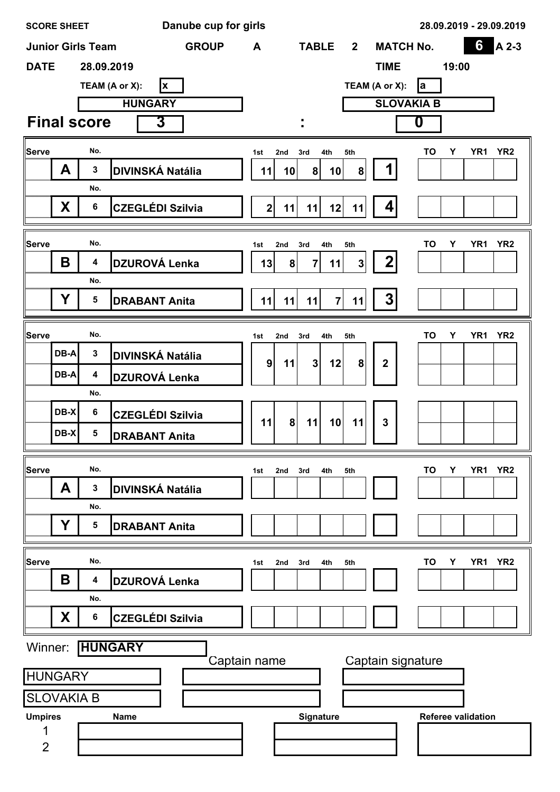|                   | <b>SCORE SHEET</b> |                          | Danube cup for girls       |                    |                      |                   |                   | 28.09.2019 - 29.09.2019 |                           |                 |
|-------------------|--------------------|--------------------------|----------------------------|--------------------|----------------------|-------------------|-------------------|-------------------------|---------------------------|-----------------|
|                   |                    | <b>Junior Girls Team</b> | <b>GROUP</b>               | A                  | <b>TABLE</b>         | $\overline{2}$    | <b>MATCH No.</b>  |                         | 6                         | A 2-3           |
| <b>DATE</b>       |                    | 28.09.2019               |                            |                    |                      |                   | <b>TIME</b>       |                         | 19:00                     |                 |
|                   |                    |                          | TEAM (A or X):<br><b>x</b> |                    |                      | TEAM (A or X):    |                   | la                      |                           |                 |
|                   |                    |                          | <b>HUNGARY</b>             |                    |                      |                   | <b>SLOVAKIA B</b> |                         |                           |                 |
|                   |                    | <b>Final score</b>       | 3                          | ٠                  |                      |                   |                   | 0                       |                           |                 |
| Serve             |                    | No.                      |                            | 1st<br>2nd         | 3rd<br>4th           | 5th               |                   | TO<br>Υ                 | YR <sub>1</sub>           | YR <sub>2</sub> |
|                   | A                  | $\mathbf 3$              | <b>DIVINSKÁ Natália</b>    | 10<br>11           | 8 <sup>1</sup><br>10 | 8                 | 1                 |                         |                           |                 |
|                   |                    | No.                      |                            |                    |                      |                   |                   |                         |                           |                 |
|                   | X                  | $\bf 6$                  | <b>CZEGLÉDI Szilvia</b>    | 2 <br>11           | 11<br>12             | 11                | $\vert$           |                         |                           |                 |
|                   |                    |                          |                            |                    |                      |                   |                   |                         |                           |                 |
| Serve             | B                  | No.<br>4                 |                            | 1st<br>3rd<br>2nd  | 4th                  | 5th               | 2                 | TO<br>Υ                 | YR <sub>1</sub>           | YR <sub>2</sub> |
|                   |                    | No.                      | DZUROVÁ Lenka              | 13<br>8            | $\overline{7}$<br>11 | 3                 |                   |                         |                           |                 |
|                   | Y                  | $\overline{\mathbf{5}}$  | <b>DRABANT Anita</b>       | 11<br>11           | 11<br>$\mathbf{7}$   | 11                | 3                 |                         |                           |                 |
|                   |                    |                          |                            |                    |                      |                   |                   |                         |                           |                 |
| Serve             |                    | No.                      |                            | 3rd<br>1st<br>2nd  | 4th                  | 5th               |                   | TO<br>Υ                 | YR <sub>1</sub>           | YR <sub>2</sub> |
|                   | DB-A               | $\mathbf 3$              | <b>DIVINSKÁ Natália</b>    | $\mathbf{9}$<br>11 | 3 <sup>1</sup><br>12 | 8                 | $\mathbf 2$       |                         |                           |                 |
|                   | DB-A               | $\boldsymbol{4}$         | DZUROVÁ Lenka              |                    |                      |                   |                   |                         |                           |                 |
|                   |                    | No.                      |                            |                    |                      |                   |                   |                         |                           |                 |
|                   | DB-X               | $\bf 6$                  | <b>CZEGLÉDI Szilvia</b>    | 11<br>8            | 11<br>10             | 11                | $\overline{3}$    |                         |                           |                 |
| ,,,,,,,,,,,,,,,,, | DB-X               | 5                        | <b>DRABANT Anita</b>       |                    |                      |                   |                   |                         |                           |                 |
|                   |                    |                          |                            |                    |                      |                   |                   |                         |                           |                 |
| Serve             | A                  | No.<br>3                 | <b>DIVINSKÁ Natália</b>    | 1st<br>2nd<br>3rd  | 4th                  | 5th               |                   | TO<br>Υ                 | YR <sub>1</sub>           | YR <sub>2</sub> |
|                   |                    | No.                      |                            |                    |                      |                   |                   |                         |                           |                 |
|                   | Υ                  | 5                        | <b>DRABANT Anita</b>       |                    |                      |                   |                   |                         |                           |                 |
|                   |                    |                          |                            |                    |                      |                   |                   |                         |                           |                 |
| Serve             |                    | No.                      |                            | 3rd<br>2nd<br>1st  | 4th                  | 5th               |                   | TO<br>Υ                 | YR <sub>1</sub>           | YR <sub>2</sub> |
|                   | В                  | 4                        | DZUROVÁ Lenka              |                    |                      |                   |                   |                         |                           |                 |
|                   |                    | No.                      |                            |                    |                      |                   |                   |                         |                           |                 |
|                   | X                  | $\bf 6$                  | <b>CZEGLÉDI Szilvia</b>    |                    |                      |                   |                   |                         |                           |                 |
| Winner:           |                    |                          | <b>HUNGARY</b>             |                    |                      |                   |                   |                         |                           |                 |
|                   |                    |                          |                            | Captain name       |                      | Captain signature |                   |                         |                           |                 |
|                   | <b>HUNGARY</b>     |                          |                            |                    |                      |                   |                   |                         |                           |                 |
|                   | <b>SLOVAKIA B</b>  |                          |                            |                    |                      |                   |                   |                         |                           |                 |
| <b>Umpires</b>    |                    |                          |                            |                    |                      |                   |                   |                         |                           |                 |
|                   |                    |                          | <b>Name</b>                |                    | Signature            |                   |                   |                         | <b>Referee validation</b> |                 |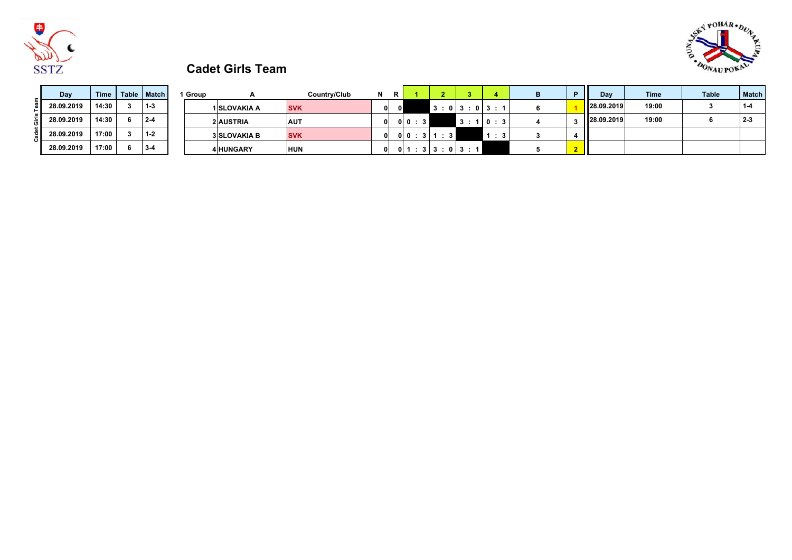



# **Cadet Girls Team**

| Day        | Time  | Table   Match | <sup>1</sup> Group |                     | Country/Club | N | Ð  |                            |           |                                      |                |                | Dav        | <b>Time</b> | <b>Table</b> | <b>Match</b> |
|------------|-------|---------------|--------------------|---------------------|--------------|---|----|----------------------------|-----------|--------------------------------------|----------------|----------------|------------|-------------|--------------|--------------|
| 28.09.2019 | 14:30 | $1 - 3$       |                    | 1 SLOVAKIA A        | <b>SVK</b>   |   | οl |                            |           |                                      | 3:013:013:1    |                | 28.09.2019 | 19:00       |              |              |
| 28.09.2019 | 14:30 | $2 - 4$       |                    | <b>2 AUSTRIA</b>    | <b>AUT</b>   |   |    | $0$ 0 $: 3$ $\blacksquare$ |           |                                      | 3:10:3         |                | 28.09.2019 | 19:00       |              | $2 - 3$      |
| 28.09.2019 | 17:00 | $1 - 2$       |                    | <b>3 SLOVAKIA B</b> | <b>SVK</b>   |   |    |                            | 0 0:3 1:3 |                                      | $\therefore$ 3 |                |            |             |              |              |
| 28.09.2019 | 17:00 | $3 - 4$       |                    | <b>4 HUNGARY</b>    | <b>HUN</b>   |   |    |                            |           | $0 \mid 1 : 3 \mid 3 : 0 \mid 3 : 1$ |                | 2 <sub>2</sub> |            |             |              |              |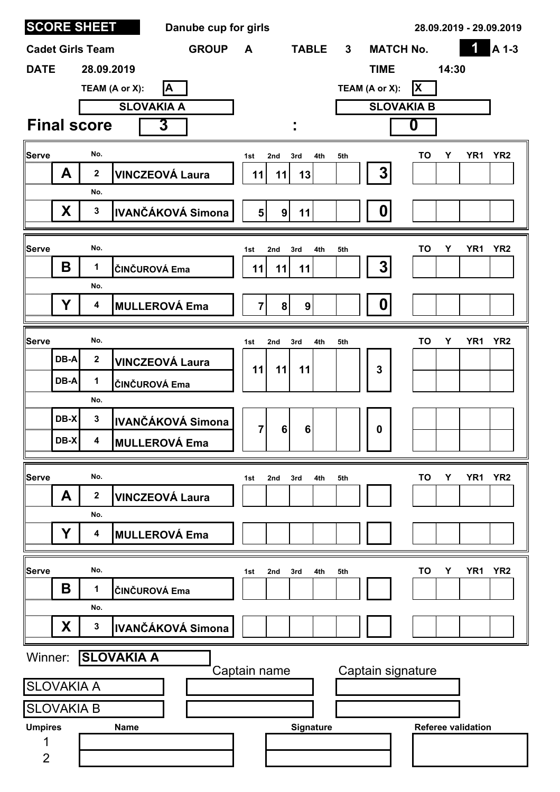|                     |                   | <b>SCORE SHEET</b>      | Danube cup for girls     |                |                |                 |     |                                  |                   |                           | 28.09.2019 - 29.09.2019            |
|---------------------|-------------------|-------------------------|--------------------------|----------------|----------------|-----------------|-----|----------------------------------|-------------------|---------------------------|------------------------------------|
|                     |                   | <b>Cadet Girls Team</b> | <b>GROUP</b>             | A              |                | <b>TABLE</b>    |     | <b>MATCH No.</b><br>$\mathbf{3}$ |                   |                           | 1<br>A 1-3                         |
| <b>DATE</b>         |                   | 28.09.2019              |                          |                |                |                 |     | <b>TIME</b>                      |                   | 14:30                     |                                    |
|                     |                   |                         | A<br>TEAM (A or X):      |                |                |                 |     | TEAM (A or X):                   | X                 |                           |                                    |
|                     |                   |                         | <b>SLOVAKIA A</b>        |                |                |                 |     |                                  | <b>SLOVAKIA B</b> |                           |                                    |
|                     |                   | <b>Final score</b>      | 3                        |                |                |                 |     |                                  | 0                 |                           |                                    |
| Serve               |                   | No.                     |                          | 1st            | 2nd            | 3rd<br>4th      | 5th |                                  |                   | TO<br>Υ                   | YR <sub>2</sub><br>YR <sub>1</sub> |
|                     | A                 | $\mathbf 2$             | <b>VINCZEOVÁ Laura</b>   | 11             | 11             | 13              |     | $3\overline{)}$                  |                   |                           |                                    |
|                     |                   | No.                     |                          |                |                |                 |     |                                  |                   |                           |                                    |
|                     | X                 | $\mathbf{3}$            | <b>IVANČÁKOVÁ Simona</b> | 5 <sup>1</sup> | $\overline{9}$ | 11              |     | 0                                |                   |                           |                                    |
| Serve               |                   | No.                     |                          | 1st            | 2nd            | 4th<br>3rd      | 5th |                                  |                   | TO<br>Υ                   | YR <sub>1</sub><br>YR <sub>2</sub> |
|                     | B                 | 1                       | ČINČUROVÁ Ema            | 11             | 11             | 11              |     | 3                                |                   |                           |                                    |
|                     |                   | No.                     |                          |                |                |                 |     |                                  |                   |                           |                                    |
|                     | Y                 | 4                       | <b>MULLEROVÁ Ema</b>     | $\overline{7}$ | 8 <sup>1</sup> | 9 <sup>1</sup>  |     | 0                                |                   |                           |                                    |
| Serve               |                   | No.                     |                          | 1st            | 2nd            | 4th<br>3rd      | 5th |                                  |                   | TO<br>Υ                   | YR <sub>2</sub><br>YR <sub>1</sub> |
|                     | DB-A              | $\mathbf 2$             | <b>VINCZEOVÁ Laura</b>   |                |                |                 |     |                                  |                   |                           |                                    |
|                     | DB-A              | 1                       | ČINČUROVÁ Ema            | 11             | 11             | 11              |     | 3                                |                   |                           |                                    |
|                     |                   | No.                     |                          |                |                |                 |     |                                  |                   |                           |                                    |
|                     | DB-X              | $\mathbf{3}$            | <b>IVANČÁKOVÁ Simona</b> | 7              | 6              | $6\phantom{1}6$ |     | $\mathbf 0$                      |                   |                           |                                    |
|                     | DB-X              | 4                       | <b>MULLEROVÁ Ema</b>     |                |                |                 |     |                                  |                   |                           |                                    |
| Serve               |                   | No.                     |                          | 1st            | 2nd            | 3rd<br>4th      | 5th |                                  |                   | <b>TO</b><br>Υ            | YR <sub>1</sub><br>YR <sub>2</sub> |
|                     | A                 | 2                       | <b>VINCZEOVÁ Laura</b>   |                |                |                 |     |                                  |                   |                           |                                    |
|                     |                   | No.                     |                          |                |                |                 |     |                                  |                   |                           |                                    |
|                     | Υ                 | 4                       | <b>MULLEROVÁ Ema</b>     |                |                |                 |     |                                  |                   |                           |                                    |
| <b>Serve</b>        |                   | No.                     |                          | 1st            | 2nd            | 3rd<br>4th      | 5th |                                  |                   | TO<br>Υ                   | YR <sub>2</sub><br>YR <sub>1</sub> |
|                     | Β                 | 1                       | ČINČUROVÁ Ema            |                |                |                 |     |                                  |                   |                           |                                    |
|                     |                   | No.                     |                          |                |                |                 |     |                                  |                   |                           |                                    |
|                     | X.                | $\mathbf{3}$            | IVANČÁKOVÁ Simona        |                |                |                 |     |                                  |                   |                           |                                    |
| Winner:             |                   |                         | <b>SLOVAKIA A</b>        |                |                |                 |     |                                  |                   |                           |                                    |
|                     |                   |                         |                          | Captain name   |                |                 |     | Captain signature                |                   |                           |                                    |
|                     | <b>SLOVAKIA A</b> |                         |                          |                |                |                 |     |                                  |                   |                           |                                    |
|                     | <b>SLOVAKIA B</b> |                         | <b>Name</b>              |                |                |                 |     |                                  |                   | <b>Referee validation</b> |                                    |
| <b>Umpires</b><br>1 |                   |                         |                          |                |                | Signature       |     |                                  |                   |                           |                                    |
| $\overline{2}$      |                   |                         |                          |                |                |                 |     |                                  |                   |                           |                                    |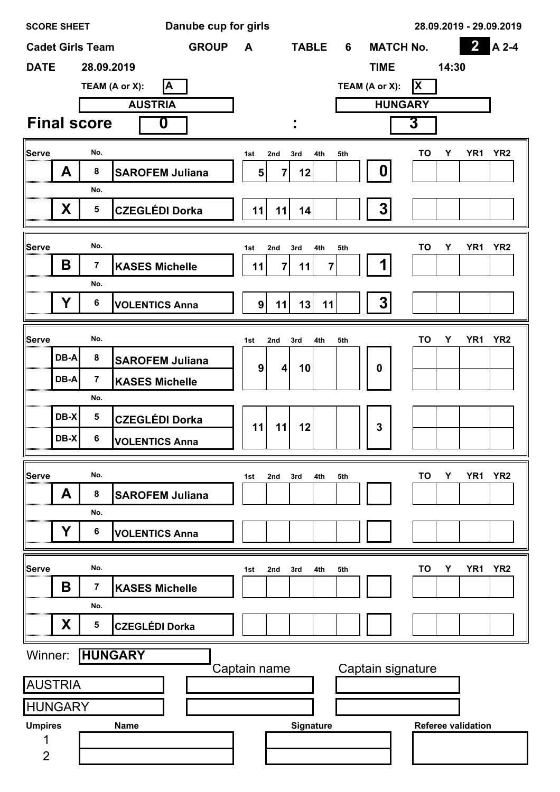|                | <b>SCORE SHEET</b> |                         |             |                        | Danube cup for girls |                  |                       |              |                       |     |                  |                |                   |       |                           | 28.09.2019 - 29.09.2019 |
|----------------|--------------------|-------------------------|-------------|------------------------|----------------------|------------------|-----------------------|--------------|-----------------------|-----|------------------|----------------|-------------------|-------|---------------------------|-------------------------|
|                |                    | <b>Cadet Girls Team</b> |             |                        | <b>GROUP</b>         | A                |                       | <b>TABLE</b> |                       | 6   | <b>MATCH No.</b> |                |                   |       | $\overline{\mathbf{2}}$   | A 2-4                   |
| <b>DATE</b>    |                    | 28.09.2019              |             |                        |                      |                  |                       |              |                       |     | <b>TIME</b>      |                |                   | 14:30 |                           |                         |
|                |                    | TEAM (A or X):          |             | A                      |                      |                  |                       |              |                       |     | TEAM (A or X):   |                | ΙX                |       |                           |                         |
|                |                    |                         |             | <b>AUSTRIA</b>         |                      |                  |                       |              |                       |     |                  | <b>HUNGARY</b> |                   |       |                           |                         |
|                |                    | <b>Final score</b>      |             | 0                      |                      |                  |                       |              |                       |     |                  |                | 3                 |       |                           |                         |
| Serve          |                    | No.                     |             |                        |                      | 1st              | 2nd                   | 3rd          | 4th                   | 5th |                  |                | <b>TO</b>         | Y     | YR <sub>1</sub>           | YR <sub>2</sub>         |
|                | A                  | 8                       |             | <b>SAROFEM Juliana</b> |                      | 5 <sup>5</sup>   | 7                     | 12           |                       |     | 0                |                |                   |       |                           |                         |
|                |                    | No.                     |             |                        |                      |                  |                       |              |                       |     |                  |                |                   |       |                           |                         |
|                | X                  | 5                       |             | <b>CZEGLÉDI Dorka</b>  |                      | 11               | 11                    | 14           |                       |     | 3                |                |                   |       |                           |                         |
| Serve          |                    | No.                     |             |                        |                      |                  |                       |              |                       |     |                  |                | <b>TO</b>         | Υ     | YR <sub>1</sub>           | YR <sub>2</sub>         |
|                | Β                  | $\overline{\mathbf{7}}$ |             | <b>KASES Michelle</b>  |                      | 1st<br>11        | 2nd<br>$\overline{7}$ | 3rd<br>11    | 4th<br>$\overline{7}$ | 5th |                  |                |                   |       |                           |                         |
|                |                    | No.                     |             |                        |                      |                  |                       |              |                       |     |                  |                |                   |       |                           |                         |
|                | Υ                  | 6                       |             | <b>VOLENTICS Anna</b>  |                      | 9 <sup>1</sup>   | 11                    | 13           | 11                    |     | 3                |                |                   |       |                           |                         |
|                |                    |                         |             |                        |                      |                  |                       |              |                       |     |                  |                |                   |       |                           |                         |
| Serve          |                    | No.                     |             |                        |                      | 1st              | 2nd                   | 3rd          | 4th                   | 5th |                  |                | TO                | Υ     | YR <sub>1</sub>           | YR <sub>2</sub>         |
|                | DB-A               | 8                       |             | <b>SAROFEM Juliana</b> |                      | $\boldsymbol{9}$ | 4                     | 10           |                       |     | 0                |                |                   |       |                           |                         |
|                | DB-A               | $\overline{7}$          |             | <b>KASES Michelle</b>  |                      |                  |                       |              |                       |     |                  |                |                   |       |                           |                         |
|                |                    | No.                     |             |                        |                      |                  |                       |              |                       |     |                  |                |                   |       |                           |                         |
|                | DB-X               | 5                       |             | <b>CZEGLÉDI Dorka</b>  |                      | 11               | 11                    | 12           |                       |     | 3                |                |                   |       |                           |                         |
|                | DB-X               | 6                       |             | <b>VOLENTICS Anna</b>  |                      |                  |                       |              |                       |     |                  |                |                   |       |                           |                         |
| Serve          |                    | No.                     |             |                        |                      | 1st              | 2nd                   | 3rd          | 4th                   | 5th |                  |                | <b>TO</b>         | Υ     | YR <sub>1</sub>           | YR <sub>2</sub>         |
|                | A                  | 8                       |             | <b>SAROFEM Juliana</b> |                      |                  |                       |              |                       |     |                  |                |                   |       |                           |                         |
|                |                    | No.                     |             |                        |                      |                  |                       |              |                       |     |                  |                |                   |       |                           |                         |
|                | Υ                  | 6                       |             | <b>VOLENTICS Anna</b>  |                      |                  |                       |              |                       |     |                  |                |                   |       |                           |                         |
|                |                    |                         |             |                        |                      |                  |                       |              |                       |     |                  |                |                   |       |                           |                         |
| Serve          |                    | No.                     |             |                        |                      | 1st              | 2nd                   | 3rd          | 4th                   | 5th |                  |                | TO                | Υ     | YR <sub>1</sub>           | YR <sub>2</sub>         |
|                | Β                  | $\overline{\mathbf{7}}$ |             | <b>KASES Michelle</b>  |                      |                  |                       |              |                       |     |                  |                |                   |       |                           |                         |
|                |                    | No.                     |             |                        |                      |                  |                       |              |                       |     |                  |                |                   |       |                           |                         |
|                | X                  | 5                       |             | <b>CZEGLÉDI Dorka</b>  |                      |                  |                       |              |                       |     |                  |                |                   |       |                           |                         |
| Winner:        |                    | <b>HUNGARY</b>          |             |                        |                      |                  |                       |              |                       |     |                  |                |                   |       |                           |                         |
|                | <b>AUSTRIA</b>     |                         |             |                        |                      | Captain name     |                       |              |                       |     |                  |                | Captain signature |       |                           |                         |
|                | <b>HUNGARY</b>     |                         |             |                        |                      |                  |                       |              |                       |     |                  |                |                   |       |                           |                         |
| <b>Umpires</b> |                    |                         | <b>Name</b> |                        |                      |                  |                       | Signature    |                       |     |                  |                |                   |       | <b>Referee validation</b> |                         |
| 1              |                    |                         |             |                        |                      |                  |                       |              |                       |     |                  |                |                   |       |                           |                         |
| $\overline{2}$ |                    |                         |             |                        |                      |                  |                       |              |                       |     |                  |                |                   |       |                           |                         |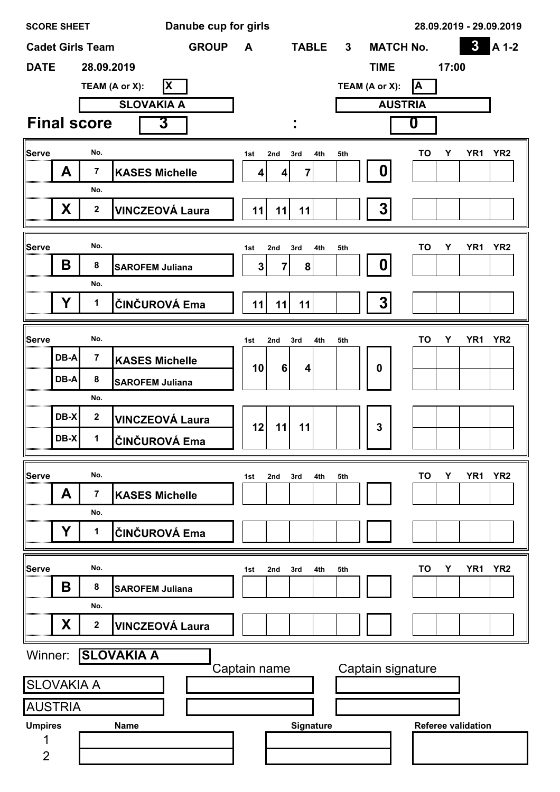| <b>SCORE SHEET</b>  |      |                         | Danube cup for girls   |                |                 |                |                |                   | 28.09.2019 - 29.09.2019                              |
|---------------------|------|-------------------------|------------------------|----------------|-----------------|----------------|----------------|-------------------|------------------------------------------------------|
|                     |      | <b>Cadet Girls Team</b> | <b>GROUP</b>           | A              |                 | <b>TABLE</b>   | 3 <sup>1</sup> | <b>MATCH No.</b>  | $\boldsymbol{3}$<br>A 1-2                            |
| <b>DATE</b>         |      | 28.09.2019              |                        |                |                 |                |                | <b>TIME</b>       | 17:00                                                |
|                     |      |                         | ΙX<br>TEAM (A or X):   |                |                 |                |                | TEAM (A or X):    | İΑ                                                   |
|                     |      |                         | <b>SLOVAKIA A</b>      |                |                 |                |                |                   | <b>AUSTRIA</b>                                       |
|                     |      | <b>Final score</b>      | $\overline{3}$         |                |                 |                |                |                   | 0                                                    |
| Serve               |      | No.                     |                        | 1st            | 2nd             | 3rd<br>4th     | 5th            |                   | <b>TO</b><br>Υ<br>YR1 YR2                            |
|                     | A    | $\overline{7}$          | <b>KASES Michelle</b>  | 4              | 4               | $\overline{7}$ |                | 0                 |                                                      |
|                     |      | No.                     |                        |                |                 |                |                |                   |                                                      |
|                     | X    | $\mathbf{2}$            | <b>VINCZEOVÁ Laura</b> | 11             | 11              | 11             |                | 3                 |                                                      |
|                     |      |                         |                        |                |                 |                |                |                   |                                                      |
| <b>Serve</b>        |      | No.                     |                        | 1st            | 2nd             | 4th<br>3rd     | 5th            |                   | <b>TO</b><br>YR <sub>1</sub><br>YR <sub>2</sub><br>Υ |
|                     | B    | 8                       | <b>SAROFEM Juliana</b> | 3 <sup>1</sup> | 7               | 8              |                | 0                 |                                                      |
|                     |      | No.                     |                        |                |                 |                |                |                   |                                                      |
|                     | Y    | $\mathbf 1$             | ČINČUROVÁ Ema          | 11             | 11              | 11             |                | 3                 |                                                      |
|                     |      |                         |                        |                |                 |                |                |                   |                                                      |
| Serve               |      | No.                     |                        | 1st            | 2nd             | 3rd<br>4th     | 5th            |                   | <b>TO</b><br>Υ<br>YR <sub>1</sub><br>YR <sub>2</sub> |
|                     | DB-A | $\overline{7}$          | <b>KASES Michelle</b>  | 10             | $6\phantom{1}6$ | 4              |                | $\boldsymbol{0}$  |                                                      |
|                     | DB-A | 8                       | <b>SAROFEM Juliana</b> |                |                 |                |                |                   |                                                      |
|                     |      | No.                     |                        |                |                 |                |                |                   |                                                      |
|                     | DB-X | $\mathbf{2}$            | <b>VINCZEOVÁ Laura</b> | 12             | 11              | 11             |                | 3                 |                                                      |
|                     | DB-X | $\mathbf 1$             | ČINČUROVÁ Ema          |                |                 |                |                |                   |                                                      |
| <b>Serve</b>        |      | No.                     |                        | 1st            | 2nd             | 4th<br>3rd     | 5th            |                   | <b>TO</b><br>Υ<br>YR <sub>1</sub><br>YR <sub>2</sub> |
|                     | A    | 7                       | <b>KASES Michelle</b>  |                |                 |                |                |                   |                                                      |
|                     |      | No.                     |                        |                |                 |                |                |                   |                                                      |
|                     | Y    | 1                       | ČINČUROVÁ Ema          |                |                 |                |                |                   |                                                      |
|                     |      |                         |                        |                |                 |                |                |                   |                                                      |
| Serve               |      | No.                     |                        | 1st            | 2nd             | 3rd<br>4th     | 5th            |                   | TO<br>YR <sub>1</sub><br>YR <sub>2</sub><br>Υ        |
|                     | Β    | 8                       | <b>SAROFEM Juliana</b> |                |                 |                |                |                   |                                                      |
|                     |      | No.                     |                        |                |                 |                |                |                   |                                                      |
|                     | X    | $\boldsymbol{2}$        | <b>VINCZEOVÁ Laura</b> |                |                 |                |                |                   |                                                      |
| Winner:             |      |                         | <b>SLOVAKIA A</b>      |                |                 |                |                |                   |                                                      |
|                     |      |                         |                        | Captain name   |                 |                |                | Captain signature |                                                      |
| <b>SLOVAKIA A</b>   |      |                         |                        |                |                 |                |                |                   |                                                      |
| <b>AUSTRIA</b>      |      |                         |                        |                |                 |                |                |                   |                                                      |
| <b>Umpires</b>      |      |                         | <b>Name</b>            |                |                 | Signature      |                |                   | <b>Referee validation</b>                            |
| 1<br>$\overline{2}$ |      |                         |                        |                |                 |                |                |                   |                                                      |
|                     |      |                         |                        |                |                 |                |                |                   |                                                      |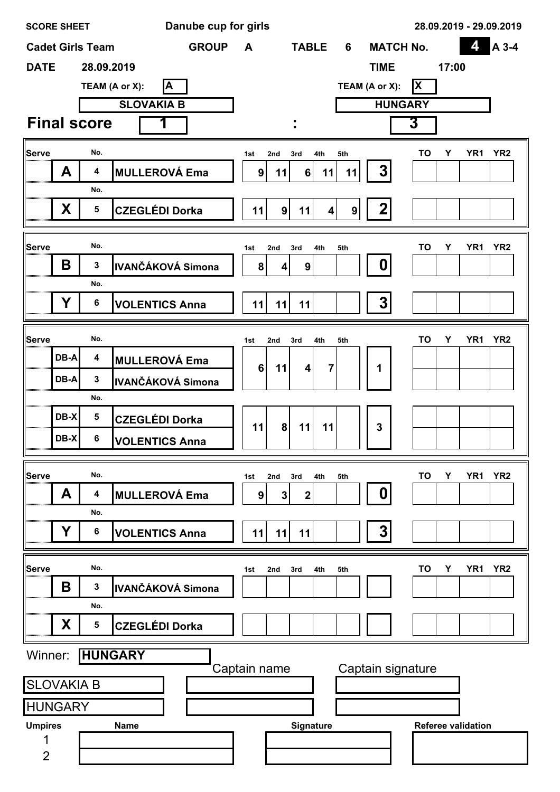| <b>SCORE SHEET</b>      |                                 | Danube cup for girls |                         |                         |                              |                   |                           | 28.09.2019 - 29.09.2019            |
|-------------------------|---------------------------------|----------------------|-------------------------|-------------------------|------------------------------|-------------------|---------------------------|------------------------------------|
| <b>Cadet Girls Team</b> |                                 | <b>GROUP</b>         | A                       | <b>TABLE</b>            | 6                            | <b>MATCH No.</b>  |                           | 4<br>A 3-4                         |
| <b>DATE</b>             | 28.09.2019                      |                      |                         |                         |                              | <b>TIME</b>       | 17:00                     |                                    |
|                         | ΙA<br>TEAM (A or X):            |                      |                         |                         |                              | TEAM (A or X):    | <b>X</b>                  |                                    |
|                         | <b>SLOVAKIA B</b>               |                      |                         |                         |                              | <b>HUNGARY</b>    |                           |                                    |
| <b>Final score</b>      |                                 |                      |                         |                         |                              |                   | 3                         |                                    |
| Serve                   | No.                             |                      | 1st                     | 2nd<br>3rd              | 4th<br>5th                   |                   | <b>TO</b><br>Υ            | YR1 YR2                            |
| A                       | <b>MULLEROVÁ Ema</b><br>4       |                      | 9 <sup>1</sup>          | 6 <br>11                | 11<br>11                     | 3                 |                           |                                    |
|                         | No.                             |                      |                         |                         |                              |                   |                           |                                    |
| X                       | 5<br><b>CZEGLÉDI Dorka</b>      |                      | 11                      | 9<br>11                 | $\overline{\mathbf{4}}$<br>9 | 2                 |                           |                                    |
| Serve                   | No.                             |                      |                         |                         |                              |                   |                           |                                    |
| B                       | 3<br>IVANČÁKOVÁ Simona          |                      | 1st<br>8                | 2nd<br>3rd<br>9<br>4    | 4th<br>5th                   | 0                 | <b>TO</b><br>Y            | YR <sub>1</sub><br>YR <sub>2</sub> |
|                         | No.                             |                      |                         |                         |                              |                   |                           |                                    |
| Y                       | 6<br><b>VOLENTICS Anna</b>      |                      | 11                      | 11<br>11                |                              | 3 <sup>1</sup>    |                           |                                    |
|                         |                                 |                      |                         |                         |                              |                   |                           |                                    |
| Serve                   | No.                             |                      | 1st                     | 2nd<br>3rd              | 4th<br>5th                   |                   | TO<br>Υ                   | YR <sub>1</sub><br>YR <sub>2</sub> |
| DB-A                    | 4<br><b>MULLEROVÁ Ema</b>       |                      | 6 <sup>1</sup>          | 11<br>$\overline{4}$    | $\overline{\mathbf{7}}$      | 1                 |                           |                                    |
| DB-A                    | 3<br><b>IVANČÁKOVÁ Simona</b>   |                      |                         |                         |                              |                   |                           |                                    |
|                         | No.                             |                      |                         |                         |                              |                   |                           |                                    |
| DB-X                    | 5<br><b>CZEGLÉDI Dorka</b>      |                      | 11                      | 8<br>11                 | 11                           | 3                 |                           |                                    |
| DB-X                    | 6<br><b>VOLENTICS Anna</b>      |                      |                         |                         |                              |                   |                           |                                    |
| <b>Serve</b>            | No.                             |                      |                         | 3rd                     | 4th<br>5th                   |                   | <b>TO</b><br>Υ            | YR1<br>YR <sub>2</sub>             |
| A                       | <b>MULLEROVÁ Ema</b><br>4       |                      | 1st<br>$\boldsymbol{9}$ | 2nd<br>$\mathbf 2$<br>3 |                              | 0                 |                           |                                    |
|                         | No.                             |                      |                         |                         |                              |                   |                           |                                    |
| Y                       | <b>VOLENTICS Anna</b><br>6      |                      | 11                      | 11<br>11                |                              | 3                 |                           |                                    |
|                         |                                 |                      |                         |                         |                              |                   |                           |                                    |
| <b>Serve</b><br>Β       | No.<br>3                        |                      | 1st                     | 2nd<br>3rd              | 4th<br>5th                   |                   | <b>TO</b><br>Υ            | YR <sub>2</sub><br>YR <sub>1</sub> |
|                         | <b>IVANČÁKOVÁ Simona</b><br>No. |                      |                         |                         |                              |                   |                           |                                    |
| X                       | <b>CZEGLÉDI Dorka</b><br>5      |                      |                         |                         |                              |                   |                           |                                    |
|                         |                                 |                      |                         |                         |                              |                   |                           |                                    |
| Winner:                 | <b>HUNGARY</b>                  | Captain name         |                         |                         |                              | Captain signature |                           |                                    |
| <b>SLOVAKIA B</b>       |                                 |                      |                         |                         |                              |                   |                           |                                    |
| <b>HUNGARY</b>          |                                 |                      |                         |                         |                              |                   |                           |                                    |
| <b>Umpires</b>          | <b>Name</b>                     |                      |                         | Signature               |                              |                   | <b>Referee validation</b> |                                    |
| 1                       |                                 |                      |                         |                         |                              |                   |                           |                                    |
| $\overline{2}$          |                                 |                      |                         |                         |                              |                   |                           |                                    |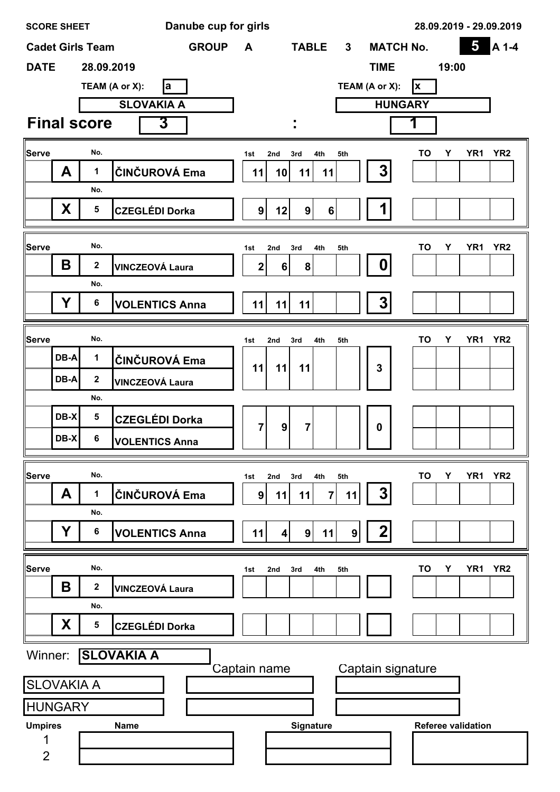| <b>SCORE SHEET</b>  |             |                         | Danube cup for girls   |                |                           |                       |                  | 28.09.2019 - 29.09.2019                 |
|---------------------|-------------|-------------------------|------------------------|----------------|---------------------------|-----------------------|------------------|-----------------------------------------|
|                     |             | <b>Cadet Girls Team</b> | <b>GROUP</b>           | A              | <b>TABLE</b>              | 3 <sup>1</sup>        | <b>MATCH No.</b> | $\overline{\mathbf{5}}$<br>A 1-4        |
| <b>DATE</b>         |             | 28.09.2019              |                        |                |                           | <b>TIME</b>           |                  | 19:00                                   |
|                     |             |                         | TEAM (A or X):<br>la   |                |                           | TEAM (A or X):        | <b>x</b>         |                                         |
|                     |             |                         | <b>SLOVAKIA A</b>      |                |                           |                       | <b>HUNGARY</b>   |                                         |
|                     |             | <b>Final score</b>      | 3                      |                |                           |                       |                  |                                         |
| Serve               |             | No.                     |                        | 1st            | 2nd<br>3rd<br>4th         | 5th                   | TO               | YR <sub>2</sub><br>Y<br>YR <sub>1</sub> |
|                     | A           | 1                       | ČINČUROVÁ Ema          | 11             | 11<br>10<br>11            | 3                     |                  |                                         |
|                     |             | No.                     |                        |                |                           |                       |                  |                                         |
|                     | X           | 5                       | <b>CZEGLÉDI Dorka</b>  | 9              | 12<br>9 <sub>l</sub>      | $6\phantom{1}$        |                  |                                         |
|                     |             |                         |                        |                |                           |                       |                  |                                         |
| <b>Serve</b>        |             | No.                     |                        | 1st            | 4th<br>2nd<br>3rd         | 5th                   | <b>TO</b>        | YR <sub>2</sub><br>Y<br>YR1             |
|                     | B           | $\boldsymbol{2}$        | <b>VINCZEOVÁ Laura</b> | $\mathbf 2$    | 8<br>6                    | 0                     |                  |                                         |
|                     |             | No.                     |                        |                |                           |                       |                  |                                         |
|                     | Y           | 6                       | <b>VOLENTICS Anna</b>  | 11             | 11<br>11                  | 3                     |                  |                                         |
| Serve               |             | No.                     |                        | 1st            | 2nd<br>3rd<br>4th         | 5th                   | TO               | YR <sub>2</sub><br>Y<br>YR <sub>1</sub> |
|                     | DB-A        | $\mathbf 1$             | ČINČUROVÁ Ema          |                |                           |                       |                  |                                         |
|                     | <b>DB-A</b> | $\mathbf 2$             | <b>VINCZEOVÁ Laura</b> | 11             | 11<br>11                  | 3                     |                  |                                         |
|                     |             | No.                     |                        |                |                           |                       |                  |                                         |
|                     | DB-X        | 5                       | <b>CZEGLÉDI Dorka</b>  |                |                           |                       |                  |                                         |
|                     | $DB-X$      | 6                       | <b>VOLENTICS Anna</b>  | $\overline{7}$ | $\boldsymbol{9}$<br>7     | $\mathbf 0$           |                  |                                         |
|                     |             |                         |                        |                |                           |                       |                  |                                         |
| <b>Serve</b>        |             | No.                     |                        | 1st            | 2nd<br>4th<br>3rd         | 5th                   | <b>TO</b>        | YR <sub>2</sub><br>Υ<br>YR <sub>1</sub> |
|                     | A           | 1                       | ČINČUROVÁ Ema          | 9              | 11<br>11                  | 3<br>7<br>11          |                  |                                         |
|                     |             | No.                     |                        |                |                           |                       |                  |                                         |
|                     | Υ           | 6                       | <b>VOLENTICS Anna</b>  | 11             | 9 <sup>1</sup><br>11<br>4 | 2<br>$\boldsymbol{9}$ |                  |                                         |
| Serve               |             | No.                     |                        |                |                           |                       | TO               | Y<br>YR <sub>1</sub><br>YR <sub>2</sub> |
|                     | Β           | $\boldsymbol{2}$        | <b>VINCZEOVÁ Laura</b> | 1st            | 2nd<br>3rd<br>4th         | 5th                   |                  |                                         |
|                     |             | No.                     |                        |                |                           |                       |                  |                                         |
|                     | X           | 5                       | <b>CZEGLÉDI Dorka</b>  |                |                           |                       |                  |                                         |
| Winner:             |             |                         | <b>SLOVAKIA A</b>      |                |                           |                       |                  |                                         |
|                     |             |                         |                        | Captain name   |                           | Captain signature     |                  |                                         |
| <b>SLOVAKIA A</b>   |             |                         |                        |                |                           |                       |                  |                                         |
| <b>HUNGARY</b>      |             |                         |                        |                |                           |                       |                  |                                         |
| <b>Umpires</b>      |             |                         | <b>Name</b>            |                | Signature                 |                       |                  | <b>Referee validation</b>               |
| 1<br>$\overline{2}$ |             |                         |                        |                |                           |                       |                  |                                         |
|                     |             |                         |                        |                |                           |                       |                  |                                         |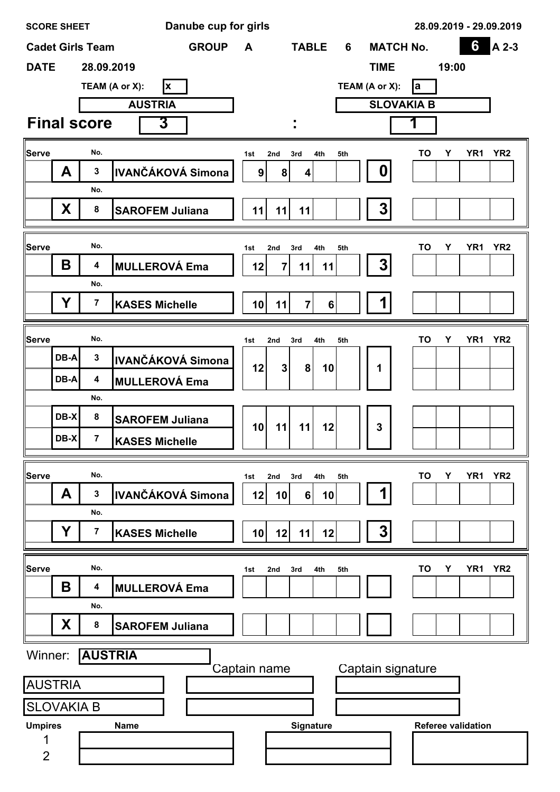| <b>SCORE SHEET</b>      |        |                | Danube cup for girls           |                 |                |                |            |                   |                           | 28.09.2019 - 29.09.2019            |
|-------------------------|--------|----------------|--------------------------------|-----------------|----------------|----------------|------------|-------------------|---------------------------|------------------------------------|
| <b>Cadet Girls Team</b> |        |                | <b>GROUP</b>                   | A               |                | <b>TABLE</b>   | 6          | <b>MATCH No.</b>  |                           | 6<br>A 2-3                         |
| <b>DATE</b>             |        | 28.09.2019     |                                |                 |                |                |            | <b>TIME</b>       | 19:00                     |                                    |
|                         |        |                | TEAM (A or X):<br>$\mathbf{x}$ |                 |                |                |            | TEAM (A or X):    | la                        |                                    |
|                         |        |                | <b>AUSTRIA</b>                 |                 |                |                |            | <b>SLOVAKIA B</b> |                           |                                    |
| <b>Final score</b>      |        |                | 3                              |                 |                |                |            |                   |                           |                                    |
| <b>Serve</b>            |        | No.            |                                | 1st             | 2nd            | 3rd            | 4th<br>5th |                   | TO<br>Υ                   | YR <sub>1</sub><br>YR <sub>2</sub> |
|                         | A      | $\mathbf{3}$   | <b>IVANČÁKOVÁ Simona</b>       | 9               | 8              | 4              |            | 0                 |                           |                                    |
|                         |        | No.            |                                |                 |                |                |            |                   |                           |                                    |
|                         | X      | 8              | <b>SAROFEM Juliana</b>         | 11              | 11             | 11             |            | 3                 |                           |                                    |
|                         |        |                |                                |                 |                |                |            |                   |                           |                                    |
| Serve                   |        | No.            |                                | 1st             | 2nd            | 3rd            | 4th<br>5th |                   | TO<br>Y                   | YR <sub>1</sub><br>YR <sub>2</sub> |
|                         | B      | 4              | <b>MULLEROVÁ Ema</b>           | 12              | $\overline{7}$ | 11             | 11         | 3                 |                           |                                    |
|                         |        | No.            |                                |                 |                |                |            |                   |                           |                                    |
|                         | Y      | $\overline{7}$ | <b>KASES Michelle</b>          | 10 <sup>1</sup> | 11             | $\overline{7}$ | 6          | 1                 |                           |                                    |
|                         |        | No.            |                                |                 |                |                |            |                   |                           |                                    |
| Serve                   | DB-A   | $\mathbf{3}$   |                                | 1st             | 2nd            | 3rd            | 4th<br>5th |                   | TO<br>Υ                   | YR <sub>1</sub><br>YR <sub>2</sub> |
|                         |        |                | <b>IVANČÁKOVÁ Simona</b>       | 12              | 3 <sup>1</sup> | 8 <sup>1</sup> | 10         | 1                 |                           |                                    |
|                         | DB-A   | 4              | <b>MULLEROVÁ Ema</b>           |                 |                |                |            |                   |                           |                                    |
|                         | DB-X   | No.<br>8       |                                |                 |                |                |            |                   |                           |                                    |
|                         |        |                | <b>SAROFEM Juliana</b>         | 10              | 11             | 11             | 12         | 3                 |                           |                                    |
|                         | $DB-X$ | $\overline{7}$ | <b>KASES Michelle</b>          |                 |                |                |            |                   |                           |                                    |
| <b>Serve</b>            |        | No.            |                                | 1st             | 2nd            | 3rd<br>4th     | 5th        |                   | TO<br>Υ                   | YR <sub>1</sub><br>YR <sub>2</sub> |
|                         | A      | 3              | IVANČÁKOVÁ Simona              | 12              | 10             | 6 <sup>1</sup> | 10         | 1                 |                           |                                    |
|                         |        | No.            |                                |                 |                |                |            |                   |                           |                                    |
|                         | Y      | 7              | <b>KASES Michelle</b>          | 10              | 12             | 11             | 12         | 3                 |                           |                                    |
|                         |        |                |                                |                 |                |                |            |                   |                           |                                    |
| <b>Serve</b>            |        | No.            |                                | 1st             | 2nd            | 3rd<br>4th     | 5th        |                   | TO<br>Υ                   | YR <sub>1</sub><br>YR <sub>2</sub> |
|                         | Β      | 4              | <b>MULLEROVÁ Ema</b>           |                 |                |                |            |                   |                           |                                    |
|                         |        | No.            |                                |                 |                |                |            |                   |                           |                                    |
|                         | X      | 8              | <b>SAROFEM Juliana</b>         |                 |                |                |            |                   |                           |                                    |
| Winner:                 |        | <b>AUSTRIA</b> |                                |                 |                |                |            |                   |                           |                                    |
| <b>AUSTRIA</b>          |        |                |                                | Captain name    |                |                |            | Captain signature |                           |                                    |
|                         |        |                |                                |                 |                |                |            |                   |                           |                                    |
| <b>SLOVAKIA B</b>       |        |                |                                |                 |                |                |            |                   | <b>Referee validation</b> |                                    |
| <b>Umpires</b><br>1     |        |                | <b>Name</b>                    |                 |                | Signature      |            |                   |                           |                                    |
| $\overline{2}$          |        |                |                                |                 |                |                |            |                   |                           |                                    |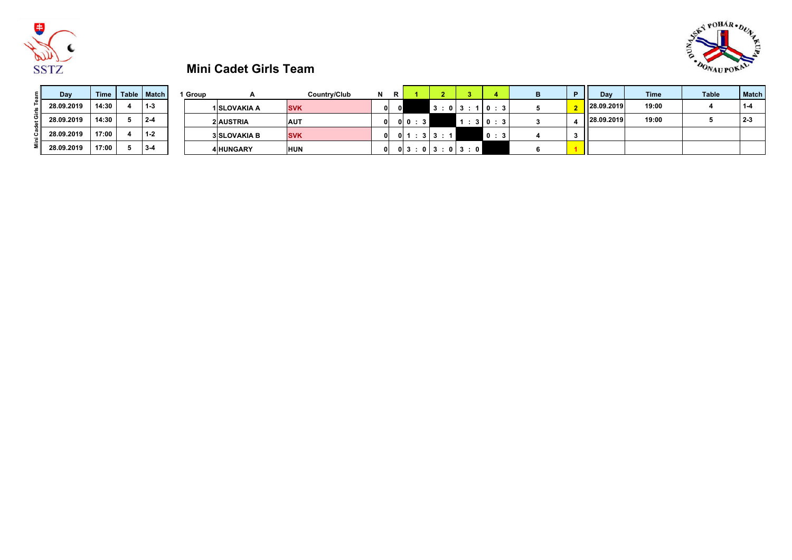



# **Mini Cadet Girls Team**

| Day        | Time  | Table   Match | Group |                     | Country/Club | N   | R |                                                |            |  | Dav        | <b>Time</b> | Table | <b>Match</b> |
|------------|-------|---------------|-------|---------------------|--------------|-----|---|------------------------------------------------|------------|--|------------|-------------|-------|--------------|
| 28.09.2019 | 14:30 | $1 - 3$       |       | 1 SLOVAKIA A        | <b>SVK</b>   | 0 I |   | 3:                                             | 013:110:31 |  | 28.09.2019 | 19:00       |       |              |
| 28.09.2019 | 14:30 | $2 - 4$       |       | 2 AUSTRIA           | <b>AUT</b>   | 01  |   |                                                | 3 0:3      |  | 28.09.2019 | 19:00       |       | $2 - 3$      |
| 28.09.2019 | 17:00 | $1 - 2$       |       | <b>3 SLOVAKIA B</b> | <b>SVK</b>   | 01  |   | $\therefore$ 3 3 $\therefore$ 1 $\blacksquare$ | 0:3        |  |            |             |       |              |
| 28.09.2019 | 17:00 | $3-4$         |       | <b>4 HUNGARY</b>    | <b>HUN</b>   | 01  |   | 0 3:0 3:0 3:0                                  |            |  |            |             |       |              |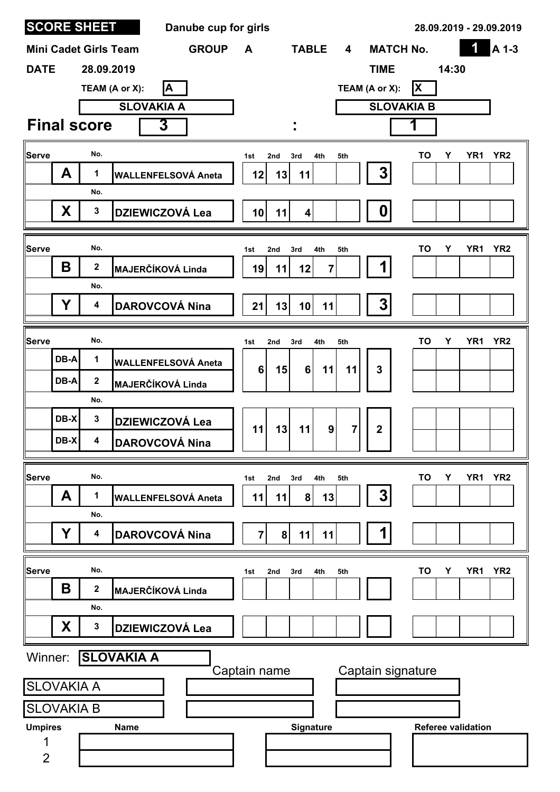|                |                   | <b>SCORE SHEET</b>           | Danube cup for girls       |                 |     |                 |                                    |                   |                           | 28.09.2019 - 29.09.2019            |
|----------------|-------------------|------------------------------|----------------------------|-----------------|-----|-----------------|------------------------------------|-------------------|---------------------------|------------------------------------|
|                |                   | <b>Mini Cadet Girls Team</b> | <b>GROUP</b>               | A               |     | <b>TABLE</b>    | $\overline{\mathbf{4}}$            | <b>MATCH No.</b>  |                           | 1<br>A 1-3                         |
| <b>DATE</b>    |                   | 28.09.2019                   |                            |                 |     |                 |                                    | <b>TIME</b>       | 14:30                     |                                    |
|                |                   |                              | A<br>TEAM (A or X):        |                 |     |                 |                                    | TEAM (A or X):    | X                         |                                    |
|                |                   |                              | <b>SLOVAKIA A</b>          |                 |     |                 |                                    | <b>SLOVAKIA B</b> |                           |                                    |
|                |                   | <b>Final score</b>           | 3                          |                 |     |                 |                                    |                   |                           |                                    |
| Serve          |                   | No.                          |                            | 1st             | 2nd | 3rd<br>4th      | 5th                                |                   | TO<br>Υ                   | YR <sub>2</sub><br>YR <sub>1</sub> |
|                | A                 | 1                            | <b>WALLENFELSOVÁ Aneta</b> | 12              | 13  | 11              |                                    | $\overline{3}$    |                           |                                    |
|                |                   | No.                          |                            |                 |     |                 |                                    |                   |                           |                                    |
|                | X.                | $\mathbf{3}$                 | <b>DZIEWICZOVÁ Lea</b>     | 10 <sup>1</sup> | 11  | $\vert$         |                                    | 0                 |                           |                                    |
| Serve          |                   | No.                          |                            | 1st             | 2nd | 4th<br>3rd      | 5th                                |                   | TO<br>Υ                   | YR <sub>1</sub><br>YR <sub>2</sub> |
|                | Β                 | $\mathbf 2$                  | <b>MAJERČÍKOVÁ Linda</b>   | 19              | 11  | 12              | 7                                  |                   |                           |                                    |
|                |                   | No.                          |                            |                 |     |                 |                                    |                   |                           |                                    |
|                | Y                 | 4                            | <b>DAROVCOVÁ Nina</b>      | 21              | 13  | 10 <sup>1</sup> | 11                                 | 3 <sup>1</sup>    |                           |                                    |
| Serve          |                   | No.                          |                            |                 | 2nd | 4th             | 5th                                |                   | TO<br>Υ                   | YR <sub>2</sub><br>YR <sub>1</sub> |
|                | DB-A              | 1                            | <b>WALLENFELSOVÁ Aneta</b> | 1st             |     | 3rd             |                                    |                   |                           |                                    |
|                | DB-A              | $\mathbf 2$                  | <b>MAJERČÍKOVÁ Linda</b>   | 6               | 15  | 6 <sup>1</sup>  | 11<br>11                           | $\mathbf{3}$      |                           |                                    |
|                |                   | No.                          |                            |                 |     |                 |                                    |                   |                           |                                    |
|                | DB-X              | $\mathbf{3}$                 | <b>DZIEWICZOVÁ Lea</b>     | 11              | 13  | 11              | $\boldsymbol{9}$<br>$\overline{7}$ | $\boldsymbol{2}$  |                           |                                    |
|                | DB-X              | 4                            | <b>DAROVCOVÁ Nina</b>      |                 |     |                 |                                    |                   |                           |                                    |
| Serve          |                   | No.                          |                            | 1st             | 2nd | 4th<br>3rd      | 5th                                |                   | <b>TO</b><br>Υ            | YR <sub>1</sub><br>YR <sub>2</sub> |
|                | A                 | 1                            | <b>WALLENFELSOVÁ Aneta</b> | 11              | 11  | 8 <sup>1</sup>  | 13                                 | 3                 |                           |                                    |
|                |                   | No.                          |                            |                 |     |                 |                                    |                   |                           |                                    |
|                | Υ                 | 4                            | <b>DAROVCOVÁ Nina</b>      | $\overline{7}$  | 8   | 11              | 11                                 |                   |                           |                                    |
| <b>Serve</b>   |                   | No.                          |                            | 1st             | 2nd | 3rd<br>4th      | 5th                                |                   | TO<br>Υ                   | YR <sub>2</sub><br>YR <sub>1</sub> |
|                | Β                 | 2                            | <b>MAJERČÍKOVÁ Linda</b>   |                 |     |                 |                                    |                   |                           |                                    |
|                |                   | No.                          |                            |                 |     |                 |                                    |                   |                           |                                    |
|                | X                 | $\mathbf 3$                  | <b>DZIEWICZOVÁ Lea</b>     |                 |     |                 |                                    |                   |                           |                                    |
| Winner:        |                   |                              | <b>SLOVAKIA A</b>          |                 |     |                 |                                    |                   |                           |                                    |
|                | <b>SLOVAKIA A</b> |                              |                            | Captain name    |     |                 |                                    | Captain signature |                           |                                    |
|                | <b>SLOVAKIA B</b> |                              |                            |                 |     |                 |                                    |                   |                           |                                    |
| <b>Umpires</b> |                   |                              | <b>Name</b>                |                 |     | Signature       |                                    |                   | <b>Referee validation</b> |                                    |
| 1              |                   |                              |                            |                 |     |                 |                                    |                   |                           |                                    |
| $\overline{2}$ |                   |                              |                            |                 |     |                 |                                    |                   |                           |                                    |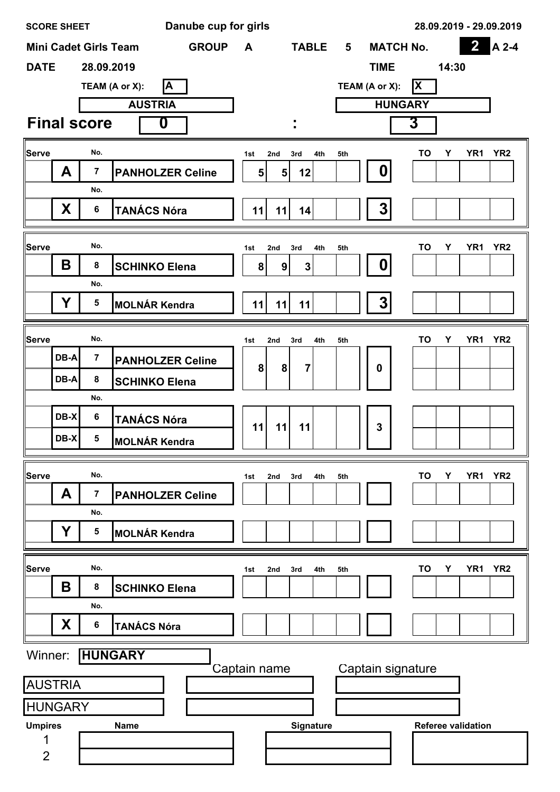| <b>SCORE SHEET</b>  |      |                         | Danube cup for girls                         |                |                  |                |             |                   |                           | 28.09.2019 - 29.09.2019            |
|---------------------|------|-------------------------|----------------------------------------------|----------------|------------------|----------------|-------------|-------------------|---------------------------|------------------------------------|
|                     |      |                         | <b>GROUP</b><br><b>Mini Cadet Girls Team</b> | A              |                  | <b>TABLE</b>   | $5^{\circ}$ | <b>MATCH No.</b>  |                           | $\overline{2}$<br>A 2-4            |
| <b>DATE</b>         |      | 28.09.2019              |                                              |                |                  |                |             | <b>TIME</b>       | 14:30                     |                                    |
|                     |      |                         | İΑ<br>TEAM (A or X):                         |                |                  |                |             | TEAM (A or X):    | <b>X</b>                  |                                    |
|                     |      |                         | <b>AUSTRIA</b>                               |                |                  |                |             | <b>HUNGARY</b>    |                           |                                    |
|                     |      | <b>Final score</b>      | 0                                            |                |                  |                |             |                   | 3                         |                                    |
| Serve               |      | No.                     |                                              | 1st            | 2nd              | 3rd<br>4th     | 5th         |                   | <b>TO</b><br>Υ            | YR1 YR2                            |
|                     | A    | $\overline{\mathbf{7}}$ | <b>PANHOLZER Celine</b>                      | 5 <sub>1</sub> | 5                | 12             |             | 0                 |                           |                                    |
|                     |      | No.                     |                                              |                |                  |                |             |                   |                           |                                    |
|                     | X    | 6                       | <b>TANÁCS Nóra</b>                           | 11             | 11               | 14             |             | 3                 |                           |                                    |
|                     |      |                         |                                              |                |                  |                |             |                   |                           |                                    |
| <b>Serve</b>        |      | No.                     |                                              | 1st            | 2nd              | 3rd<br>4th     | 5th         |                   | TO<br>Y                   | YR1<br>YR2                         |
|                     | B    | 8                       | <b>SCHINKO Elena</b>                         | 8              | $\boldsymbol{9}$ | $\mathbf{3}$   |             | 0                 |                           |                                    |
|                     |      | No.                     |                                              |                |                  |                |             |                   |                           |                                    |
|                     | Y    | 5                       | <b>MOLNÁR Kendra</b>                         | 11             | 11               | 11             |             | 3                 |                           |                                    |
|                     |      |                         |                                              |                |                  |                |             |                   |                           |                                    |
| Serve               |      | No.                     |                                              | 1st            | 2nd              | 3rd<br>4th     | 5th         |                   | <b>TO</b><br>Υ            | YR <sub>1</sub><br>YR <sub>2</sub> |
|                     | DB-A | $\overline{7}$          | <b>PANHOLZER Celine</b>                      | 8              | 8                | $\overline{7}$ |             | 0                 |                           |                                    |
|                     | DB-A | 8                       | <b>SCHINKO Elena</b>                         |                |                  |                |             |                   |                           |                                    |
|                     |      | No.                     |                                              |                |                  |                |             |                   |                           |                                    |
|                     | DB-X | $6\phantom{a}$          | <b>TANÁCS Nóra</b>                           | 11             | 11               | 11             |             | 3                 |                           |                                    |
|                     | DB-X | 5                       | <b>MOLNÁR Kendra</b>                         |                |                  |                |             |                   |                           |                                    |
| <b>Serve</b>        |      | No.                     |                                              |                |                  | 4th            | 5th         |                   | <b>TO</b><br>Υ            | YR1<br>YR <sub>2</sub>             |
|                     | A    | 7                       | <b>PANHOLZER Celine</b>                      | 1st            | 2nd              | 3rd            |             |                   |                           |                                    |
|                     |      | No.                     |                                              |                |                  |                |             |                   |                           |                                    |
|                     | Y    | 5                       | <b>MOLNÁR Kendra</b>                         |                |                  |                |             |                   |                           |                                    |
|                     |      |                         |                                              |                |                  |                |             |                   |                           |                                    |
| Serve               |      | No.                     |                                              | 1st            | 2nd              | 3rd<br>4th     | 5th         |                   | TO<br>Υ                   | YR <sub>2</sub><br>YR <sub>1</sub> |
|                     | Β    | 8                       | <b>SCHINKO Elena</b>                         |                |                  |                |             |                   |                           |                                    |
|                     |      | No.                     |                                              |                |                  |                |             |                   |                           |                                    |
|                     | X    | 6                       | <b>TANÁCS Nóra</b>                           |                |                  |                |             |                   |                           |                                    |
| Winner:             |      |                         | <b>HUNGARY</b>                               |                |                  |                |             |                   |                           |                                    |
|                     |      |                         |                                              | Captain name   |                  |                |             | Captain signature |                           |                                    |
| <b>AUSTRIA</b>      |      |                         |                                              |                |                  |                |             |                   |                           |                                    |
| <b>HUNGARY</b>      |      |                         |                                              |                |                  |                |             |                   |                           |                                    |
| <b>Umpires</b>      |      |                         | <b>Name</b>                                  |                |                  | Signature      |             |                   | <b>Referee validation</b> |                                    |
| 1<br>$\overline{2}$ |      |                         |                                              |                |                  |                |             |                   |                           |                                    |
|                     |      |                         |                                              |                |                  |                |             |                   |                           |                                    |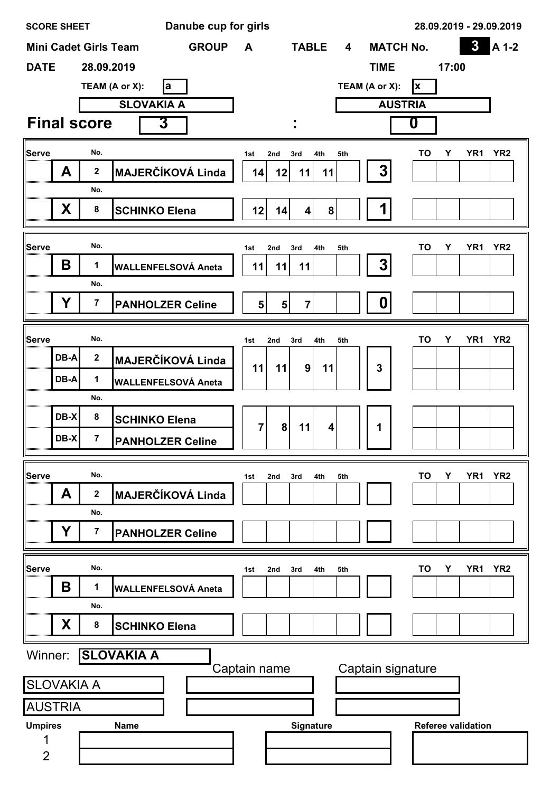|                | <b>SCORE SHEET</b> |                              |                      |                      |    | Danube cup for girls       |                |                |                                  |              |                         |                   |                |           |       |                           | 28.09.2019 - 29.09.2019 |
|----------------|--------------------|------------------------------|----------------------|----------------------|----|----------------------------|----------------|----------------|----------------------------------|--------------|-------------------------|-------------------|----------------|-----------|-------|---------------------------|-------------------------|
|                |                    | <b>Mini Cadet Girls Team</b> |                      |                      |    | <b>GROUP</b>               | A              |                |                                  | <b>TABLE</b> | $\overline{\mathbf{4}}$ | <b>MATCH No.</b>  |                |           |       | $\boldsymbol{3}$          | A 1-2                   |
| <b>DATE</b>    |                    | 28.09.2019                   |                      |                      |    |                            |                |                |                                  |              |                         | <b>TIME</b>       |                |           | 17:00 |                           |                         |
|                |                    | TEAM (A or X):               |                      |                      | la |                            |                |                |                                  |              |                         | TEAM (A or X):    |                | x         |       |                           |                         |
|                |                    |                              |                      | <b>SLOVAKIA A</b>    |    |                            |                |                |                                  |              |                         |                   | <b>AUSTRIA</b> |           |       |                           |                         |
|                |                    | <b>Final score</b>           |                      | 3                    |    |                            |                |                |                                  |              |                         |                   |                | 0         |       |                           |                         |
| <b>Serve</b>   |                    | No.                          |                      |                      |    |                            | 1st            | 2nd            | 3rd                              | 4th          | 5th                     |                   |                | <b>TO</b> | Υ     | YR <sub>1</sub>           | YR <sub>2</sub>         |
|                | A                  | $\bf 2$                      |                      |                      |    | <b>MAJERČÍKOVÁ Linda</b>   | 14             | 12             | 11                               | 11           |                         | 3                 |                |           |       |                           |                         |
|                |                    | No.                          |                      |                      |    |                            |                |                |                                  |              |                         |                   |                |           |       |                           |                         |
|                | X                  | ${\bf 8}$                    | <b>SCHINKO Elena</b> |                      |    |                            | 12             | 14             | $\vert$                          |              | 8                       |                   |                |           |       |                           |                         |
|                |                    |                              |                      |                      |    |                            |                |                |                                  |              |                         |                   |                |           |       |                           |                         |
| Serve          | Β                  | No.<br>1                     |                      |                      |    |                            | 1st            | 2nd            | 3rd                              | 4th          | 5th                     | 3                 |                | <b>TO</b> | Y     | YR <sub>1</sub>           | YR <sub>2</sub>         |
|                |                    | No.                          |                      |                      |    | <b>WALLENFELSOVÁ Aneta</b> | 11             | 11             | 11                               |              |                         |                   |                |           |       |                           |                         |
|                | Υ                  | 7                            |                      |                      |    | <b>PANHOLZER Celine</b>    |                | 5 <sup>1</sup> | $\overline{7}$<br>5 <sup>1</sup> |              |                         | $\boldsymbol{0}$  |                |           |       |                           |                         |
|                |                    |                              |                      |                      |    |                            |                |                |                                  |              |                         |                   |                |           |       |                           |                         |
| Serve          |                    | No.                          |                      |                      |    |                            | 1st            | 2nd            | 3rd                              | 4th          | 5th                     |                   |                | TO        | Υ     | YR <sub>1</sub>           | YR <sub>2</sub>         |
|                | DB-A               | $\bf 2$                      |                      |                      |    | <b>MAJERČÍKOVÁ Linda</b>   | 11             | 11             | $\mathbf{9}$                     | 11           |                         | 3                 |                |           |       |                           |                         |
|                | DB-A               | 1                            |                      |                      |    | <b>WALLENFELSOVÁ Aneta</b> |                |                |                                  |              |                         |                   |                |           |       |                           |                         |
|                |                    | No.                          |                      |                      |    |                            |                |                |                                  |              |                         |                   |                |           |       |                           |                         |
|                | DB-X               | 8                            |                      | <b>SCHINKO Elena</b> |    |                            | $\overline{7}$ |                | 8<br>11                          | 4            |                         | 1                 |                |           |       |                           |                         |
|                | DB-X               | $\overline{7}$               |                      |                      |    | <b>PANHOLZER Celine</b>    |                |                |                                  |              |                         |                   |                |           |       |                           |                         |
|                |                    |                              |                      |                      |    |                            |                |                |                                  |              |                         |                   |                |           |       |                           |                         |
| Serve          | A                  | No.<br>$\mathbf 2$           |                      |                      |    | <b>MAJERČÍKOVÁ Linda</b>   | 1st            | 2nd            | 3rd                              | 4th          | 5th                     |                   |                | TO        | Υ     | YR <sub>1</sub>           | YR <sub>2</sub>         |
|                |                    | No.                          |                      |                      |    |                            |                |                |                                  |              |                         |                   |                |           |       |                           |                         |
|                | Υ                  | 7                            |                      |                      |    | <b>PANHOLZER Celine</b>    |                |                |                                  |              |                         |                   |                |           |       |                           |                         |
|                |                    |                              |                      |                      |    |                            |                |                |                                  |              |                         |                   |                |           |       |                           |                         |
| Serve          |                    | No.                          |                      |                      |    |                            | 1st            | 2nd            | 3rd                              | 4th          | 5th                     |                   |                | <b>TO</b> | Y     | YR <sub>1</sub>           | YR <sub>2</sub>         |
|                | Β                  | 1                            |                      |                      |    | <b>WALLENFELSOVÁ Aneta</b> |                |                |                                  |              |                         |                   |                |           |       |                           |                         |
|                |                    | No.                          |                      |                      |    |                            |                |                |                                  |              |                         |                   |                |           |       |                           |                         |
|                | X                  | 8                            |                      | <b>SCHINKO Elena</b> |    |                            |                |                |                                  |              |                         |                   |                |           |       |                           |                         |
| Winner:        |                    | <b>SLOVAKIA A</b>            |                      |                      |    |                            |                |                |                                  |              |                         |                   |                |           |       |                           |                         |
|                |                    |                              |                      |                      |    |                            |                | Captain name   |                                  |              |                         | Captain signature |                |           |       |                           |                         |
|                | <b>SLOVAKIA A</b>  |                              |                      |                      |    |                            |                |                |                                  |              |                         |                   |                |           |       |                           |                         |
|                | <b>AUSTRIA</b>     |                              |                      |                      |    |                            |                |                |                                  |              |                         |                   |                |           |       |                           |                         |
| <b>Umpires</b> |                    |                              | <b>Name</b>          |                      |    |                            |                |                |                                  | Signature    |                         |                   |                |           |       | <b>Referee validation</b> |                         |
| $\overline{2}$ |                    |                              |                      |                      |    |                            |                |                |                                  |              |                         |                   |                |           |       |                           |                         |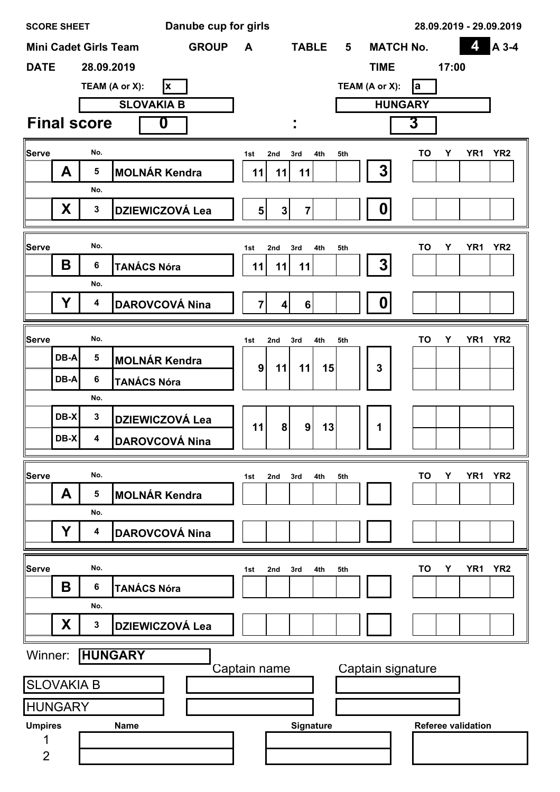|                | <b>SCORE SHEET</b> |                              |                       |                   |   | Danube cup for girls   |                |                         |                |     |                |             |                  |                   |       |                           | 28.09.2019 - 29.09.2019 |
|----------------|--------------------|------------------------------|-----------------------|-------------------|---|------------------------|----------------|-------------------------|----------------|-----|----------------|-------------|------------------|-------------------|-------|---------------------------|-------------------------|
|                |                    | <b>Mini Cadet Girls Team</b> |                       |                   |   | <b>GROUP</b>           | A              |                         | <b>TABLE</b>   |     | 5              |             | <b>MATCH No.</b> |                   |       | 4                         | A 3-4                   |
| <b>DATE</b>    |                    | 28.09.2019                   |                       |                   |   |                        |                |                         |                |     |                | <b>TIME</b> |                  |                   | 17:00 |                           |                         |
|                |                    | TEAM (A or X):               |                       |                   | X |                        |                |                         |                |     | TEAM (A or X): |             |                  | la                |       |                           |                         |
|                |                    |                              |                       | <b>SLOVAKIA B</b> |   |                        |                |                         |                |     |                |             | <b>HUNGARY</b>   |                   |       |                           |                         |
|                |                    | <b>Final score</b>           |                       | $\boldsymbol{0}$  |   |                        |                |                         |                |     |                |             |                  | 3                 |       |                           |                         |
| Serve          |                    | No.                          |                       |                   |   |                        | 1st            | 2nd                     | 3rd            | 4th | 5th            |             |                  | <b>TO</b>         | Y     | YR <sub>1</sub>           | YR <sub>2</sub>         |
|                | A                  | 5                            | <b>MOLNÁR Kendra</b>  |                   |   |                        | 11             | 11                      | 11             |     |                | 3           |                  |                   |       |                           |                         |
|                |                    | No.                          |                       |                   |   |                        |                |                         |                |     |                |             |                  |                   |       |                           |                         |
|                | X.                 | $\mathbf{3}$                 |                       |                   |   | <b>DZIEWICZOVÁ Lea</b> | 5 <sup>1</sup> | $\mathbf 3$             | $\mathbf{7}$   |     |                | 0           |                  |                   |       |                           |                         |
|                |                    |                              |                       |                   |   |                        |                |                         |                |     |                |             |                  |                   |       |                           |                         |
| Serve          |                    | No.                          |                       |                   |   |                        | 1st            | 2nd                     | 3rd            | 4th | 5th            |             |                  | <b>TO</b>         | Υ     | YR <sub>1</sub>           | YR <sub>2</sub>         |
|                | Β                  | 6                            | <b>TANÁCS Nóra</b>    |                   |   |                        | 11             | 11                      | 11             |     |                | 3           |                  |                   |       |                           |                         |
|                |                    | No.                          |                       |                   |   |                        |                |                         |                |     |                |             |                  |                   |       |                           |                         |
|                | Υ                  | 4                            | <b>DAROVCOVÁ Nina</b> |                   |   |                        | 7 <sup>1</sup> | $\overline{\mathbf{4}}$ | 6 <sup>1</sup> |     |                | 0           |                  |                   |       |                           |                         |
| Serve          |                    | No.                          |                       |                   |   |                        | 1st            | 2nd                     | 3rd            | 4th | 5th            |             |                  | TO                | Υ     | YR <sub>1</sub>           | YR <sub>2</sub>         |
|                | DB-A               | 5                            | <b>MOLNÁR Kendra</b>  |                   |   |                        |                |                         |                |     |                |             |                  |                   |       |                           |                         |
|                | DB-A               | 6                            | <b>TANÁCS Nóra</b>    |                   |   |                        | 9              | 11                      | 11             | 15  |                | 3           |                  |                   |       |                           |                         |
|                |                    | No.                          |                       |                   |   |                        |                |                         |                |     |                |             |                  |                   |       |                           |                         |
|                | DB-X               | $\mathbf{3}$                 |                       |                   |   | <b>DZIEWICZOVÁ Lea</b> | 11             | 8                       | 9              | 13  |                |             |                  |                   |       |                           |                         |
|                | DB-X               | $\mathbf 4$                  | <b>DAROVCOVÁ Nina</b> |                   |   |                        |                |                         |                |     |                | 1           |                  |                   |       |                           |                         |
|                |                    |                              |                       |                   |   |                        |                |                         |                |     |                |             |                  |                   |       |                           |                         |
| Serve          |                    | No.                          |                       |                   |   |                        | 1st            | 2nd                     | 3rd            | 4th | 5th            |             |                  | TO                | Υ     | YR <sub>1</sub>           | YR <sub>2</sub>         |
|                | A                  | 5                            | <b>MOLNÁR Kendra</b>  |                   |   |                        |                |                         |                |     |                |             |                  |                   |       |                           |                         |
|                | Υ                  | No.<br>4                     |                       |                   |   | <b>DAROVCOVÁ Nina</b>  |                |                         |                |     |                |             |                  |                   |       |                           |                         |
|                |                    |                              |                       |                   |   |                        |                |                         |                |     |                |             |                  |                   |       |                           |                         |
| Serve          |                    | No.                          |                       |                   |   |                        | 1st            | 2nd                     | 3rd            | 4th | 5th            |             |                  | TO                | Υ     | YR <sub>1</sub>           | YR <sub>2</sub>         |
|                | Β                  | 6                            | <b>TANÁCS Nóra</b>    |                   |   |                        |                |                         |                |     |                |             |                  |                   |       |                           |                         |
|                |                    | No.                          |                       |                   |   |                        |                |                         |                |     |                |             |                  |                   |       |                           |                         |
|                | X.                 | 3                            |                       |                   |   | <b>DZIEWICZOVÁ Lea</b> |                |                         |                |     |                |             |                  |                   |       |                           |                         |
| Winner:        |                    | <b>HUNGARY</b>               |                       |                   |   |                        |                |                         |                |     |                |             |                  |                   |       |                           |                         |
|                | <b>SLOVAKIA B</b>  |                              |                       |                   |   |                        |                | Captain name            |                |     |                |             |                  | Captain signature |       |                           |                         |
|                | <b>HUNGARY</b>     |                              |                       |                   |   |                        |                |                         |                |     |                |             |                  |                   |       |                           |                         |
| <b>Umpires</b> |                    |                              | <b>Name</b>           |                   |   |                        |                |                         | Signature      |     |                |             |                  |                   |       | <b>Referee validation</b> |                         |
|                |                    |                              |                       |                   |   |                        |                |                         |                |     |                |             |                  |                   |       |                           |                         |
| $\overline{2}$ |                    |                              |                       |                   |   |                        |                |                         |                |     |                |             |                  |                   |       |                           |                         |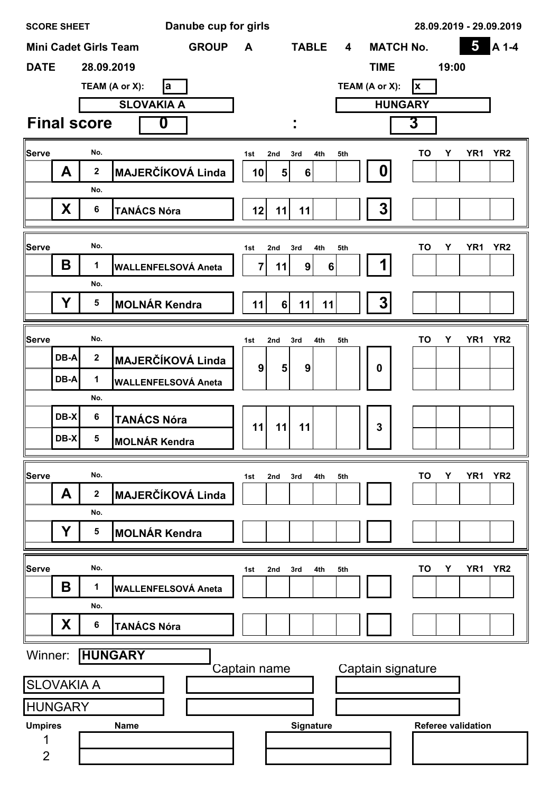| Danube cup for girls<br><b>SCORE SHEET</b> |                                     |                    |                                              |              |                |                |     |                         | 28.09.2019 - 29.09.2019 |                   |       |                           |                 |
|--------------------------------------------|-------------------------------------|--------------------|----------------------------------------------|--------------|----------------|----------------|-----|-------------------------|-------------------------|-------------------|-------|---------------------------|-----------------|
|                                            |                                     |                    | <b>GROUP</b><br><b>Mini Cadet Girls Team</b> | A            |                | <b>TABLE</b>   |     | $\overline{\mathbf{4}}$ |                         | <b>MATCH No.</b>  |       | $\overline{\mathbf{5}}$   | A 1-4           |
| <b>DATE</b>                                |                                     | 28.09.2019         |                                              |              |                |                |     |                         | <b>TIME</b>             |                   | 19:00 |                           |                 |
|                                            |                                     |                    | TEAM (A or X):<br>la                         |              |                |                |     |                         | TEAM (A or X):          | <b>x</b>          |       |                           |                 |
|                                            |                                     |                    | <b>SLOVAKIA A</b>                            |              |                |                |     |                         |                         | <b>HUNGARY</b>    |       |                           |                 |
|                                            |                                     | <b>Final score</b> | 0                                            |              |                |                |     |                         |                         | 3                 |       |                           |                 |
| Serve                                      |                                     | No.                |                                              | 1st          | 2nd            | 3rd            | 4th | 5th                     |                         | TO                | Υ     | YR1                       | YR <sub>2</sub> |
|                                            | A                                   | $\mathbf 2$        | <b>MAJERČÍKOVÁ Linda</b>                     | 10           | 5              | $6\phantom{1}$ |     |                         | 0                       |                   |       |                           |                 |
|                                            |                                     | No.                |                                              |              |                |                |     |                         |                         |                   |       |                           |                 |
|                                            | X                                   | 6                  | <b>TANÁCS Nóra</b>                           | 12           | 11             | 11             |     |                         | 3                       |                   |       |                           |                 |
|                                            |                                     |                    |                                              |              |                |                |     |                         |                         |                   |       |                           |                 |
| Serve                                      |                                     | No.                |                                              | 1st          | 2nd            | 3rd            | 4th | 5th                     |                         | TO                | Y     | YR <sub>1</sub>           | YR <sub>2</sub> |
|                                            | B                                   | 1                  | <b>WALLENFELSOVÁ Aneta</b>                   | 7            | 11             | 9 <sub>l</sub> | 6   |                         |                         |                   |       |                           |                 |
|                                            |                                     | No.                |                                              |              |                |                |     |                         |                         |                   |       |                           |                 |
|                                            | Y                                   | $5\phantom{1}$     | <b>MOLNÁR Kendra</b>                         | 11           | 6 <sup>1</sup> | 11             | 11  |                         | 3                       |                   |       |                           |                 |
| Serve                                      |                                     | No.                |                                              |              |                |                |     |                         |                         | TO                | Υ     | YR <sub>1</sub>           | YR <sub>2</sub> |
|                                            | DB-A                                | $\mathbf{2}$       | <b>MAJERČÍKOVÁ Linda</b>                     | 1st          | 2nd            | 3rd            | 4th | 5th                     |                         |                   |       |                           |                 |
|                                            | DB-A                                | 1                  |                                              | 9            | $5\phantom{1}$ | 9              |     |                         | $\bf{0}$                |                   |       |                           |                 |
|                                            |                                     | No.                | <b>WALLENFELSOVÁ Aneta</b>                   |              |                |                |     |                         |                         |                   |       |                           |                 |
|                                            | DB-X                                | 6                  | <b>TANÁCS Nóra</b>                           |              |                |                |     |                         |                         |                   |       |                           |                 |
|                                            | $DB-X$                              | 5                  |                                              | 11           | 11             | 11             |     |                         | $\mathbf{3}$            |                   |       |                           |                 |
|                                            |                                     |                    | <b>MOLNÁR Kendra</b>                         |              |                |                |     |                         |                         |                   |       |                           |                 |
| Serve                                      |                                     | No.                |                                              | 1st          | 2nd            | 3rd            | 4th | 5th                     |                         | TO                | Υ     | YR <sub>1</sub>           | YR <sub>2</sub> |
|                                            | A                                   | $\mathbf 2$        | <b>MAJERČÍKOVÁ Linda</b>                     |              |                |                |     |                         |                         |                   |       |                           |                 |
|                                            |                                     | No.                |                                              |              |                |                |     |                         |                         |                   |       |                           |                 |
|                                            | Y                                   | 5                  | <b>MOLNÁR Kendra</b>                         |              |                |                |     |                         |                         |                   |       |                           |                 |
|                                            |                                     |                    |                                              |              |                |                |     |                         |                         |                   |       |                           |                 |
| <b>Serve</b>                               |                                     | No.                |                                              | 1st          | 2nd            | 3rd            | 4th | 5th                     |                         | TO                | Υ     | YR <sub>1</sub>           | YR <sub>2</sub> |
|                                            | Β                                   | 1                  | <b>WALLENFELSOVÁ Aneta</b>                   |              |                |                |     |                         |                         |                   |       |                           |                 |
|                                            |                                     | No.                |                                              |              |                |                |     |                         |                         |                   |       |                           |                 |
|                                            | X                                   | 6                  | <b>TANÁCS Nóra</b>                           |              |                |                |     |                         |                         |                   |       |                           |                 |
| Winner:                                    |                                     |                    | <b>HUNGARY</b>                               |              |                |                |     |                         |                         |                   |       |                           |                 |
|                                            |                                     |                    |                                              | Captain name |                |                |     |                         |                         | Captain signature |       |                           |                 |
|                                            | <b>SLOVAKIA A</b><br><b>HUNGARY</b> |                    |                                              |              |                |                |     |                         |                         |                   |       |                           |                 |
|                                            |                                     |                    |                                              |              |                |                |     |                         |                         |                   |       |                           |                 |
| <b>Umpires</b><br>1                        |                                     |                    | <b>Name</b>                                  |              |                | Signature      |     |                         |                         |                   |       | <b>Referee validation</b> |                 |
| $\overline{2}$                             |                                     |                    |                                              |              |                |                |     |                         |                         |                   |       |                           |                 |